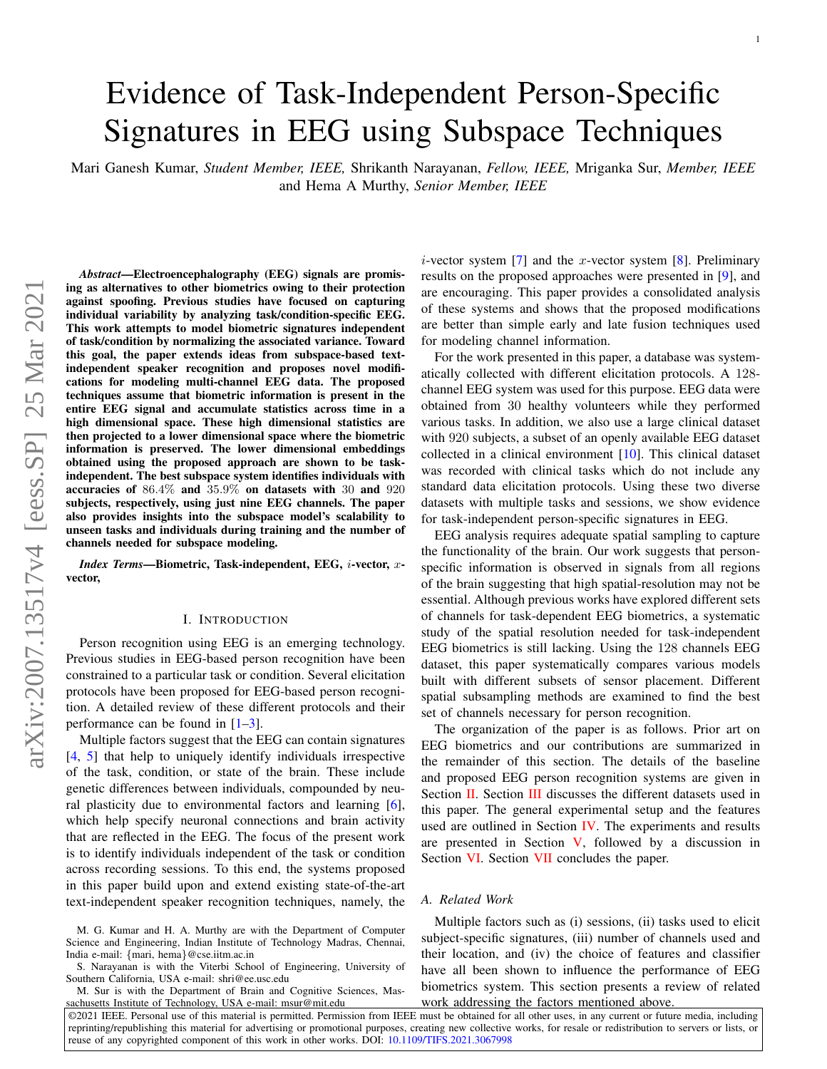# Evidence of Task-Independent Person-Specific Signatures in EEG using Subspace Techniques

Mari Ganesh Kumar, *Student Member, IEEE,* Shrikanth Narayanan, *Fellow, IEEE,* Mriganka Sur, *Member, IEEE* and Hema A Murthy, *Senior Member, IEEE*

*Abstract*—Electroencephalography (EEG) signals are promising as alternatives to other biometrics owing to their protection against spoofing. Previous studies have focused on capturing individual variability by analyzing task/condition-specific EEG. This work attempts to model biometric signatures independent of task/condition by normalizing the associated variance. Toward this goal, the paper extends ideas from subspace-based textindependent speaker recognition and proposes novel modifications for modeling multi-channel EEG data. The proposed techniques assume that biometric information is present in the entire EEG signal and accumulate statistics across time in a high dimensional space. These high dimensional statistics are then projected to a lower dimensional space where the biometric information is preserved. The lower dimensional embeddings obtained using the proposed approach are shown to be taskindependent. The best subspace system identifies individuals with accuracies of 86.4% and 35.9% on datasets with 30 and 920 subjects, respectively, using just nine EEG channels. The paper also provides insights into the subspace model's scalability to unseen tasks and individuals during training and the number of channels needed for subspace modeling.

*Index Terms*—Biometric, Task-independent, EEG, i-vector, xvector,

#### I. INTRODUCTION

Person recognition using EEG is an emerging technology. Previous studies in EEG-based person recognition have been constrained to a particular task or condition. Several elicitation protocols have been proposed for EEG-based person recognition. A detailed review of these different protocols and their performance can be found in  $[1-3]$ .

Multiple factors suggest that the EEG can contain signatures [4, 5] that help to uniquely identify individuals irrespective of the task, condition, or state of the brain. These include genetic differences between individuals, compounded by neural plasticity due to environmental factors and learning [6], which help specify neuronal connections and brain activity that are reflected in the EEG. The focus of the present work is to identify individuals independent of the task or condition across recording sessions. To this end, the systems proposed in this paper build upon and extend existing state-of-the-art text-independent speaker recognition techniques, namely, the

S. Narayanan is with the Viterbi School of Engineering, University of Southern California, USA e-mail: shri@ee.usc.edu

M. Sur is with the Department of Brain and Cognitive Sciences, Masachusetts Institute of Technology, USA e-mail: msur@mit.edu

*i*-vector system [7] and the *x*-vector system [8]. Preliminary results on the proposed approaches were presented in [9], and are encouraging. This paper provides a consolidated analysis of these systems and shows that the proposed modifications are better than simple early and late fusion techniques used for modeling channel information.

1

For the work presented in this paper, a database was systematically collected with different elicitation protocols. A 128 channel EEG system was used for this purpose. EEG data were obtained from 30 healthy volunteers while they performed various tasks. In addition, we also use a large clinical dataset with 920 subjects, a subset of an openly available EEG dataset collected in a clinical environment [10]. This clinical dataset was recorded with clinical tasks which do not include any standard data elicitation protocols. Using these two diverse datasets with multiple tasks and sessions, we show evidence for task-independent person-specific signatures in EEG.

EEG analysis requires adequate spatial sampling to capture the functionality of the brain. Our work suggests that personspecific information is observed in signals from all regions of the brain suggesting that high spatial-resolution may not be essential. Although previous works have explored different sets of channels for task-dependent EEG biometrics, a systematic study of the spatial resolution needed for task-independent EEG biometrics is still lacking. Using the 128 channels EEG dataset, this paper systematically compares various models built with different subsets of sensor placement. Different spatial subsampling methods are examined to find the best set of channels necessary for person recognition.

The organization of the paper is as follows. Prior art on EEG biometrics and our contributions are summarized in the remainder of this section. The details of the baseline and proposed EEG person recognition systems are given in Section II. Section III discusses the different datasets used in this paper. The general experimental setup and the features used are outlined in Section IV. The experiments and results are presented in Section  $V$ , followed by a discussion in Section VI. Section VII concludes the paper.

#### *A. Related Work*

Multiple factors such as (i) sessions, (ii) tasks used to elicit subject-specific signatures, (iii) number of channels used and their location, and (iv) the choice of features and classifier have all been shown to influence the performance of EEG biometrics system. This section presents a review of related work addressing the factors mentioned above.

©2021 IEEE. Personal use of this material is permitted. Permission from IEEE must be obtained for all other uses, in any current or future media, including reprinting/republishing this material for advertising or promotional purposes, creating new collective works, for resale or redistribution to servers or lists, or reuse of any copyrighted component of this work in other works. DOI: 10.1109/TIFS.2021.3067998

M. G. Kumar and H. A. Murthy are with the Department of Computer Science and Engineering, Indian Institute of Technology Madras, Chennai, India e-mail: {mari, hema}@cse.iitm.ac.in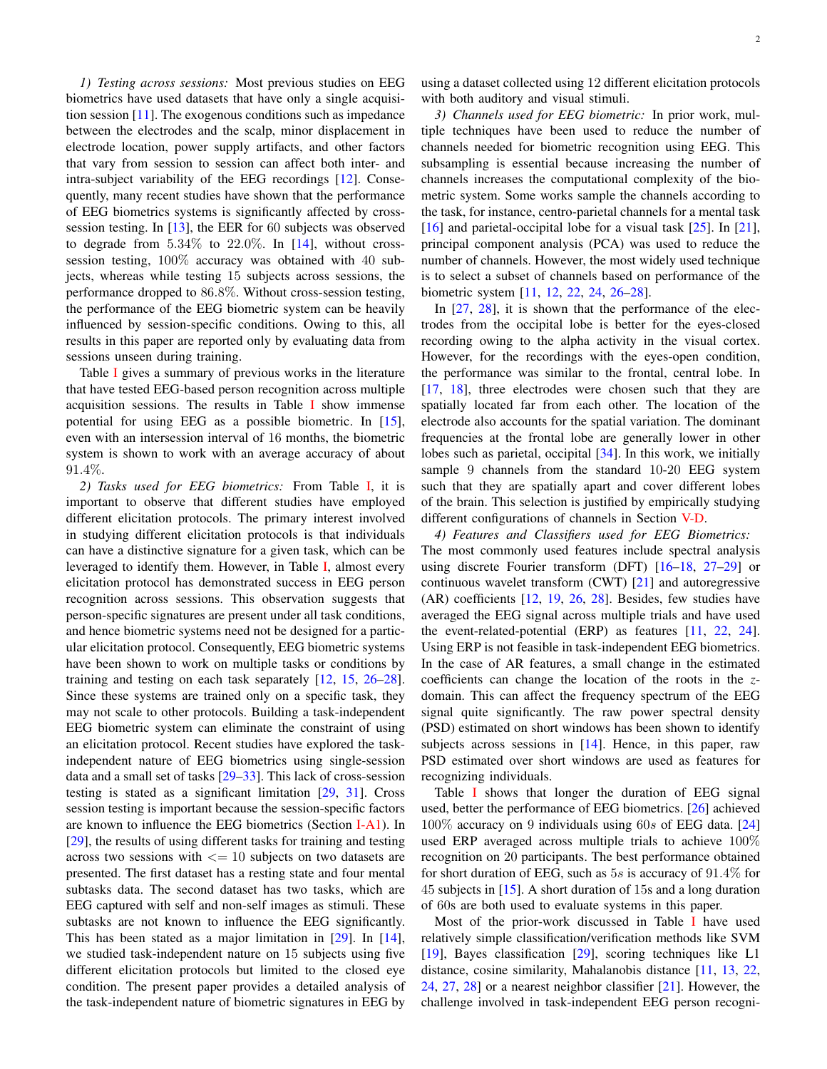*1) Testing across sessions:* Most previous studies on EEG biometrics have used datasets that have only a single acquisition session [11]. The exogenous conditions such as impedance between the electrodes and the scalp, minor displacement in electrode location, power supply artifacts, and other factors that vary from session to session can affect both inter- and intra-subject variability of the EEG recordings [12]. Consequently, many recent studies have shown that the performance of EEG biometrics systems is significantly affected by crosssession testing. In [13], the EER for 60 subjects was observed to degrade from  $5.34\%$  to  $22.0\%$ . In [14], without crosssession testing, 100% accuracy was obtained with 40 subjects, whereas while testing 15 subjects across sessions, the performance dropped to 86.8%. Without cross-session testing, the performance of the EEG biometric system can be heavily influenced by session-specific conditions. Owing to this, all results in this paper are reported only by evaluating data from sessions unseen during training.

Table I gives a summary of previous works in the literature that have tested EEG-based person recognition across multiple acquisition sessions. The results in Table  $\bf{I}$  show immense potential for using EEG as a possible biometric. In [15], even with an intersession interval of 16 months, the biometric system is shown to work with an average accuracy of about 91.4%.

*2) Tasks used for EEG biometrics:* From Table I, it is important to observe that different studies have employed different elicitation protocols. The primary interest involved in studying different elicitation protocols is that individuals can have a distinctive signature for a given task, which can be leveraged to identify them. However, in Table I, almost every elicitation protocol has demonstrated success in EEG person recognition across sessions. This observation suggests that person-specific signatures are present under all task conditions, and hence biometric systems need not be designed for a particular elicitation protocol. Consequently, EEG biometric systems have been shown to work on multiple tasks or conditions by training and testing on each task separately [12, 15, 26–28]. Since these systems are trained only on a specific task, they may not scale to other protocols. Building a task-independent EEG biometric system can eliminate the constraint of using an elicitation protocol. Recent studies have explored the taskindependent nature of EEG biometrics using single-session data and a small set of tasks [29–33]. This lack of cross-session testing is stated as a significant limitation [29, 31]. Cross session testing is important because the session-specific factors are known to influence the EEG biometrics (Section I-A1). In [29], the results of using different tasks for training and testing across two sessions with  $\leq$  10 subjects on two datasets are presented. The first dataset has a resting state and four mental subtasks data. The second dataset has two tasks, which are EEG captured with self and non-self images as stimuli. These subtasks are not known to influence the EEG significantly. This has been stated as a major limitation in [29]. In [14], we studied task-independent nature on 15 subjects using five different elicitation protocols but limited to the closed eye condition. The present paper provides a detailed analysis of the task-independent nature of biometric signatures in EEG by

*3) Channels used for EEG biometric:* In prior work, multiple techniques have been used to reduce the number of channels needed for biometric recognition using EEG. This subsampling is essential because increasing the number of channels increases the computational complexity of the biometric system. Some works sample the channels according to the task, for instance, centro-parietal channels for a mental task [16] and parietal-occipital lobe for a visual task [25]. In [21], principal component analysis (PCA) was used to reduce the number of channels. However, the most widely used technique is to select a subset of channels based on performance of the biometric system [11, 12, 22, 24, 26–28].

In [27, 28], it is shown that the performance of the electrodes from the occipital lobe is better for the eyes-closed recording owing to the alpha activity in the visual cortex. However, for the recordings with the eyes-open condition, the performance was similar to the frontal, central lobe. In [17, 18], three electrodes were chosen such that they are spatially located far from each other. The location of the electrode also accounts for the spatial variation. The dominant frequencies at the frontal lobe are generally lower in other lobes such as parietal, occipital [34]. In this work, we initially sample 9 channels from the standard 10-20 EEG system such that they are spatially apart and cover different lobes of the brain. This selection is justified by empirically studying different configurations of channels in Section V-D.

*4) Features and Classifiers used for EEG Biometrics:* The most commonly used features include spectral analysis using discrete Fourier transform (DFT) [16–18, 27–29] or continuous wavelet transform (CWT) [21] and autoregressive (AR) coefficients [12, 19, 26, 28]. Besides, few studies have averaged the EEG signal across multiple trials and have used the event-related-potential (ERP) as features [11, 22, 24]. Using ERP is not feasible in task-independent EEG biometrics. In the case of AR features, a small change in the estimated coefficients can change the location of the roots in the *z*domain. This can affect the frequency spectrum of the EEG signal quite significantly. The raw power spectral density (PSD) estimated on short windows has been shown to identify subjects across sessions in [14]. Hence, in this paper, raw PSD estimated over short windows are used as features for recognizing individuals.

Table I shows that longer the duration of EEG signal used, better the performance of EEG biometrics. [26] achieved 100% accuracy on 9 individuals using 60s of EEG data. [24] used ERP averaged across multiple trials to achieve 100% recognition on 20 participants. The best performance obtained for short duration of EEG, such as  $5s$  is accuracy of  $91.4\%$  for 45 subjects in [15]. A short duration of 15s and a long duration of 60s are both used to evaluate systems in this paper.

Most of the prior-work discussed in Table I have used relatively simple classification/verification methods like SVM [19], Bayes classification [29], scoring techniques like L1 distance, cosine similarity, Mahalanobis distance [11, 13, 22, 24, 27, 28] or a nearest neighbor classifier  $[21]$ . However, the challenge involved in task-independent EEG person recogni-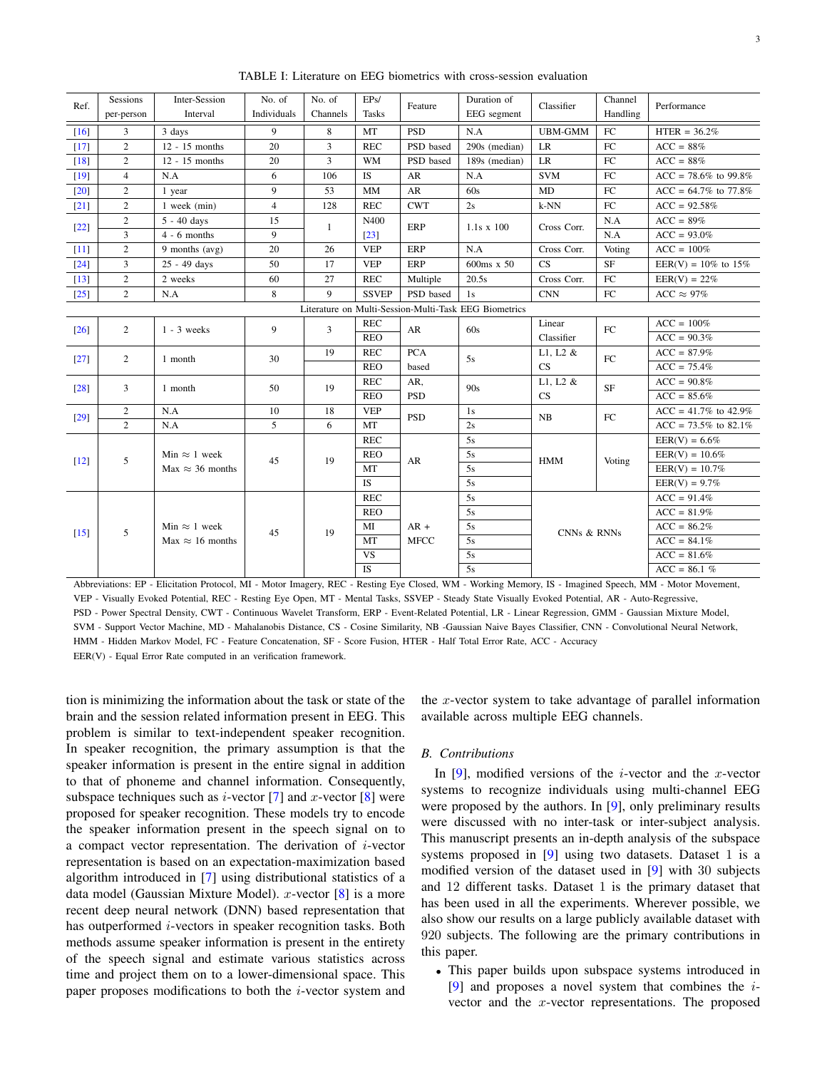| Ref.               | Sessions<br>per-person                                | Inter-Session<br>Interval | No. of<br>Individuals | No. of<br>Channels | EPs/<br><b>Tasks</b> | Feature     | Duration of<br>EEG segment | Classifier     | Channel<br>Handling | Performance               |  |
|--------------------|-------------------------------------------------------|---------------------------|-----------------------|--------------------|----------------------|-------------|----------------------------|----------------|---------------------|---------------------------|--|
| [16]               | 3                                                     | 3 days                    | 9                     | 8                  | MT                   | <b>PSD</b>  | N.A                        | <b>UBM-GMM</b> | FC                  | $HTER = 36.2%$            |  |
| $[17]$             | 2                                                     | $12 - 15$ months          | 20                    | 3                  | <b>REC</b>           | PSD based   | 290s (median)              | LR             | FC                  | $ACC = 88%$               |  |
| $[18]$             | 2                                                     | $12 - 15$ months          | 20                    | 3                  | <b>WM</b>            | PSD based   | 189s (median)              | LR             | FC                  | $ACC = 88%$               |  |
| $[19]$             | $\overline{4}$                                        | N.A                       | 6                     | 106                | IS                   | AR          | N.A                        | <b>SVM</b>     | FC                  | $ACC = 78.6\%$ to 99.8%   |  |
| [20]               | $\overline{2}$                                        | 1 year                    | 9                     | 53                 | <b>MM</b>            | AR          | 60s                        | MD             | FC                  | $ACC = 64.7\%$ to 77.8%   |  |
| $[21]$             | $\overline{2}$                                        | 1 week (min)              | $\overline{4}$        | 128                | <b>REC</b>           | <b>CWT</b>  | 2s                         | $k-NN$         | FC                  | $ACC = 92.58%$            |  |
|                    | $\mathbf{2}$                                          | $5 - 40$ days             | 15                    | 1                  | N400                 | ERP         | $1.1s \times 100$          | Cross Corr.    | N.A                 | $ACC = 89%$               |  |
| $[22]$             | 3                                                     | $4 - 6$ months            | 9                     |                    | $\left[23\right]$    |             |                            |                | N.A                 | $ACC = 93.0\%$            |  |
| $[11]$             | 2                                                     | 9 months (avg)            | 20                    | 26                 | <b>VEP</b>           | ERP         | N.A                        | Cross Corr.    | Voting              | $ACC = 100\%$             |  |
| $[24]$             | 3                                                     | 25 - 49 days              | 50                    | 17                 | <b>VEP</b>           | ERP         | 600ms x 50                 | CS             | <b>SF</b>           | EER(V) = $10\%$ to $15\%$ |  |
| $[13]$             | 2                                                     | 2 weeks                   | 60                    | 27                 | <b>REC</b>           | Multiple    | 20.5s                      | Cross Corr.    | FC                  | $EER(V) = 22\%$           |  |
| $[25]$             | $\overline{2}$                                        | N.A                       | 8                     | 9                  | <b>SSVEP</b>         | PSD based   | 1s                         | <b>CNN</b>     | FC                  | ACC $\approx 97\%$        |  |
|                    | Literature on Multi-Session-Multi-Task EEG Biometrics |                           |                       |                    |                      |             |                            |                |                     |                           |  |
| $\lceil 26 \rceil$ | 2                                                     | $1 - 3$ weeks             | 9                     | 3                  | <b>REC</b>           | AR          | 60s                        | Linear         | ${\rm FC}$          | $ACC = 100\%$             |  |
|                    |                                                       |                           |                       |                    | <b>REO</b>           |             |                            | Classifier     |                     | $ACC = 90.3%$             |  |
| $[27]$             | 2                                                     | 1 month                   | 30                    | 19                 | <b>REC</b>           | <b>PCA</b>  | 5s                         | L1, L2 $&$     | ${\rm FC}$          | $ACC = 87.9\%$            |  |
|                    |                                                       |                           |                       |                    | <b>REO</b>           | based       |                            | CS             |                     | $ACC = 75.4%$             |  |
| $\lceil 28 \rceil$ | 3                                                     | 1 month                   | 50                    | 19                 | <b>REC</b>           | AR,         | 90s                        | L1, L2 $&$     | SF                  | $ACC = 90.8%$             |  |
|                    |                                                       |                           |                       |                    | <b>REO</b>           | <b>PSD</b>  |                            | <b>CS</b>      |                     | $ACC = 85.6%$             |  |
| $[29]$             | 2                                                     | N.A                       | 10                    | 18                 | <b>VEP</b>           | <b>PSD</b>  | 1s                         | NB             | FC                  | $ACC = 41.7\%$ to 42.9%   |  |
|                    | 2                                                     | N.A                       | 5                     | 6                  | MT                   |             | 2s                         |                |                     | $ACC = 73.5\%$ to 82.1%   |  |
|                    |                                                       |                           |                       |                    | <b>REC</b>           |             | 5s                         |                |                     | $EER(V) = 6.6%$           |  |
| $[12]$             | 5                                                     | Min $\approx$ 1 week      | 45                    | 19                 | <b>REO</b>           | AR          | 5s                         | <b>HMM</b>     | Voting              | $EER(V) = 10.6%$          |  |
|                    |                                                       | $Max \approx 36$ months   |                       |                    | MT                   |             | 5s                         |                |                     | $EER(V) = 10.7%$          |  |
|                    |                                                       |                           |                       |                    | <b>IS</b>            |             | 5s                         |                |                     | $EER(V) = 9.7%$           |  |
|                    |                                                       |                           |                       |                    | <b>REC</b>           |             | 5s                         |                |                     | $ACC = 91.4%$             |  |
|                    |                                                       |                           |                       |                    | <b>REO</b>           |             | 5s                         |                |                     | $ACC = 81.9%$             |  |
| $[15]$             | 5                                                     | Min $\approx$ 1 week      | 45                    | 19                 | MI                   | $AR +$      | 5s                         |                |                     | $ACC = 86.2%$             |  |
|                    |                                                       | Max $\approx$ 16 months   |                       |                    | MT                   | <b>MFCC</b> | 5s                         | CNNs & RNNs    |                     | $ACC = 84.1\%$            |  |
|                    |                                                       |                           |                       |                    | <b>VS</b>            |             | 5s                         |                |                     | $ACC = 81.6%$             |  |
|                    |                                                       |                           |                       |                    | <b>IS</b>            |             | 5s                         |                |                     | $ACC = 86.1 %$            |  |

TABLE I: Literature on EEG biometrics with cross-session evaluation

Abbreviations: EP - Elicitation Protocol, MI - Motor Imagery, REC - Resting Eye Closed, WM - Working Memory, IS - Imagined Speech, MM - Motor Movement, VEP - Visually Evoked Potential, REC - Resting Eye Open, MT - Mental Tasks, SSVEP - Steady State Visually Evoked Potential, AR - Auto-Regressive, PSD - Power Spectral Density, CWT - Continuous Wavelet Transform, ERP - Event-Related Potential, LR - Linear Regression, GMM - Gaussian Mixture Model, SVM - Support Vector Machine, MD - Mahalanobis Distance, CS - Cosine Similarity, NB -Gaussian Naive Bayes Classifier, CNN - Convolutional Neural Network, HMM - Hidden Markov Model, FC - Feature Concatenation, SF - Score Fusion, HTER - Half Total Error Rate, ACC - Accuracy EER(V) - Equal Error Rate computed in an verification framework.

tion is minimizing the information about the task or state of the brain and the session related information present in EEG. This problem is similar to text-independent speaker recognition. In speaker recognition, the primary assumption is that the speaker information is present in the entire signal in addition to that of phoneme and channel information. Consequently, subspace techniques such as *i*-vector [7] and *x*-vector [8] were proposed for speaker recognition. These models try to encode the speaker information present in the speech signal on to a compact vector representation. The derivation of  $i$ -vector representation is based on an expectation-maximization based algorithm introduced in [7] using distributional statistics of a data model (Gaussian Mixture Model). x-vector  $[8]$  is a more recent deep neural network (DNN) based representation that has outperformed *i*-vectors in speaker recognition tasks. Both methods assume speaker information is present in the entirety of the speech signal and estimate various statistics across time and project them on to a lower-dimensional space. This paper proposes modifications to both the i-vector system and

the x-vector system to take advantage of parallel information available across multiple EEG channels.

#### *B. Contributions*

In  $[9]$ , modified versions of the *i*-vector and the *x*-vector systems to recognize individuals using multi-channel EEG were proposed by the authors. In [9], only preliminary results were discussed with no inter-task or inter-subject analysis. This manuscript presents an in-depth analysis of the subspace systems proposed in  $[9]$  using two datasets. Dataset 1 is a modified version of the dataset used in [9] with 30 subjects and 12 different tasks. Dataset 1 is the primary dataset that has been used in all the experiments. Wherever possible, we also show our results on a large publicly available dataset with 920 subjects. The following are the primary contributions in this paper.

• This paper builds upon subspace systems introduced in [9] and proposes a novel system that combines the ivector and the x-vector representations. The proposed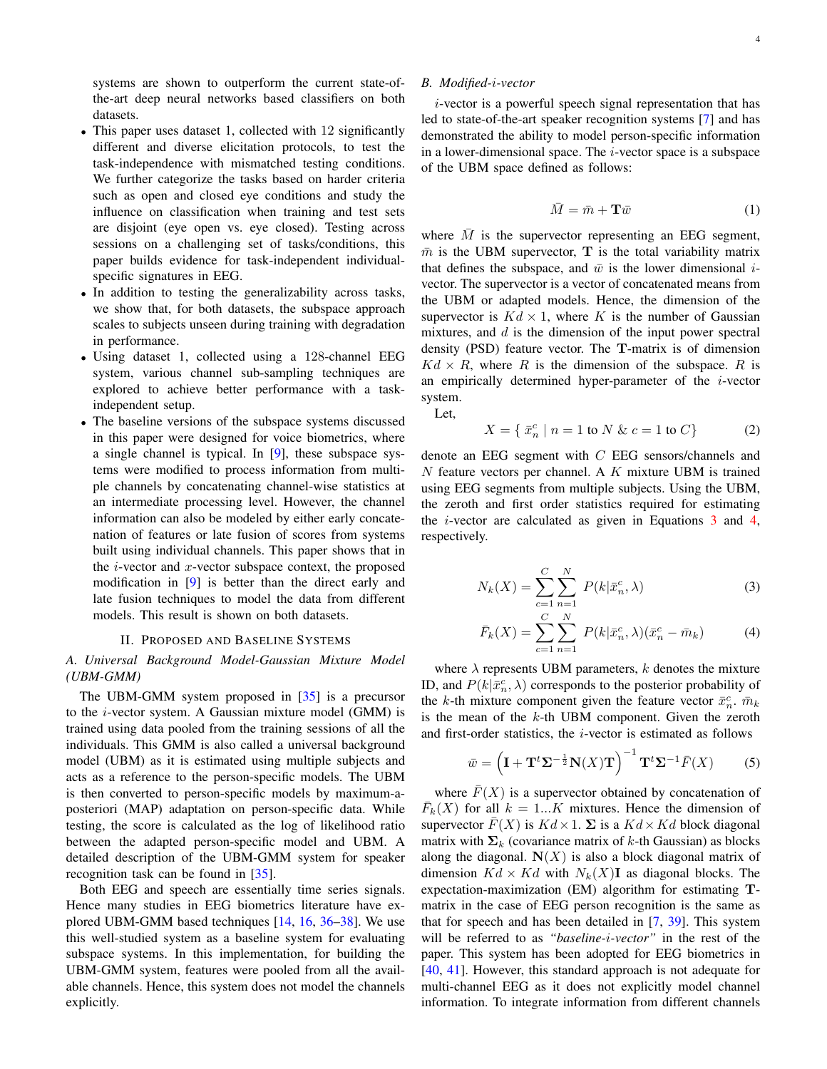systems are shown to outperform the current state-ofthe-art deep neural networks based classifiers on both datasets.

- This paper uses dataset 1, collected with 12 significantly different and diverse elicitation protocols, to test the task-independence with mismatched testing conditions. We further categorize the tasks based on harder criteria such as open and closed eye conditions and study the influence on classification when training and test sets are disjoint (eye open vs. eye closed). Testing across sessions on a challenging set of tasks/conditions, this paper builds evidence for task-independent individualspecific signatures in EEG.
- In addition to testing the generalizability across tasks, we show that, for both datasets, the subspace approach scales to subjects unseen during training with degradation in performance.
- Using dataset 1, collected using a 128-channel EEG system, various channel sub-sampling techniques are explored to achieve better performance with a taskindependent setup.
- The baseline versions of the subspace systems discussed in this paper were designed for voice biometrics, where a single channel is typical. In [9], these subspace systems were modified to process information from multiple channels by concatenating channel-wise statistics at an intermediate processing level. However, the channel information can also be modeled by either early concatenation of features or late fusion of scores from systems built using individual channels. This paper shows that in the  $i$ -vector and  $x$ -vector subspace context, the proposed modification in [9] is better than the direct early and late fusion techniques to model the data from different models. This result is shown on both datasets.

#### II. PROPOSED AND BASELINE SYSTEMS

# *A. Universal Background Model-Gaussian Mixture Model (UBM-GMM)*

The UBM-GMM system proposed in [35] is a precursor to the  $i$ -vector system. A Gaussian mixture model (GMM) is trained using data pooled from the training sessions of all the individuals. This GMM is also called a universal background model (UBM) as it is estimated using multiple subjects and acts as a reference to the person-specific models. The UBM is then converted to person-specific models by maximum-aposteriori (MAP) adaptation on person-specific data. While testing, the score is calculated as the log of likelihood ratio between the adapted person-specific model and UBM. A detailed description of the UBM-GMM system for speaker recognition task can be found in [35].

Both EEG and speech are essentially time series signals. Hence many studies in EEG biometrics literature have explored UBM-GMM based techniques [14, 16, 36–38]. We use this well-studied system as a baseline system for evaluating subspace systems. In this implementation, for building the UBM-GMM system, features were pooled from all the available channels. Hence, this system does not model the channels explicitly.

## *B. Modified-*i*-vector*

i-vector is a powerful speech signal representation that has led to state-of-the-art speaker recognition systems [7] and has demonstrated the ability to model person-specific information in a lower-dimensional space. The  $i$ -vector space is a subspace of the UBM space defined as follows:

$$
\bar{M} = \bar{m} + \mathbf{T}\bar{w} \tag{1}
$$

where  $\overline{M}$  is the supervector representing an EEG segment,  $\bar{m}$  is the UBM supervector, T is the total variability matrix that defines the subspace, and  $\bar{w}$  is the lower dimensional *i*vector. The supervector is a vector of concatenated means from the UBM or adapted models. Hence, the dimension of the supervector is  $Kd \times 1$ , where K is the number of Gaussian mixtures, and  $d$  is the dimension of the input power spectral density (PSD) feature vector. The T-matrix is of dimension  $Kd \times R$ , where R is the dimension of the subspace. R is an empirically determined hyper-parameter of the  $i$ -vector system.

Let,

$$
X = \{ \bar{x}_n^c \mid n = 1 \text{ to } N \& c = 1 \text{ to } C \}
$$
 (2)

denote an EEG segment with C EEG sensors/channels and  $N$  feature vectors per channel. A  $K$  mixture UBM is trained using EEG segments from multiple subjects. Using the UBM, the zeroth and first order statistics required for estimating the i-vector are calculated as given in Equations 3 and 4, respectively.

$$
N_k(X) = \sum_{c=1}^{C} \sum_{n=1}^{N} P(k | \bar{x}_n^c, \lambda)
$$
 (3)

$$
\bar{F}_k(X) = \sum_{c=1}^{C} \sum_{n=1}^{N} P(k | \bar{x}_n^c, \lambda) (\bar{x}_n^c - \bar{m}_k)
$$
 (4)

where  $\lambda$  represents UBM parameters, k denotes the mixture ID, and  $P(k|\bar{x}_n^c, \lambda)$  corresponds to the posterior probability of the k-th mixture component given the feature vector  $\bar{x}_n^c$ .  $\bar{m}_k$ is the mean of the  $k$ -th UBM component. Given the zeroth and first-order statistics, the i-vector is estimated as follows

$$
\bar{w} = \left(\mathbf{I} + \mathbf{T}^t \mathbf{\Sigma}^{-\frac{1}{2}} \mathbf{N}(X) \mathbf{T}\right)^{-1} \mathbf{T}^t \mathbf{\Sigma}^{-1} \bar{F}(X) \tag{5}
$$

where  $\overline{F}(X)$  is a supervector obtained by concatenation of  $\overline{F}_k(X)$  for all  $k = 1...K$  mixtures. Hence the dimension of supervector  $\overline{F}(X)$  is  $Kd \times 1$ .  $\Sigma$  is a  $Kd \times Kd$  block diagonal matrix with  $\Sigma_k$  (covariance matrix of k-th Gaussian) as blocks along the diagonal.  $N(X)$  is also a block diagonal matrix of dimension  $Kd \times Kd$  with  $N_k(X)$ I as diagonal blocks. The expectation-maximization (EM) algorithm for estimating Tmatrix in the case of EEG person recognition is the same as that for speech and has been detailed in [7, 39]. This system will be referred to as *"baseline-*i*-vector"* in the rest of the paper. This system has been adopted for EEG biometrics in [40, 41]. However, this standard approach is not adequate for multi-channel EEG as it does not explicitly model channel information. To integrate information from different channels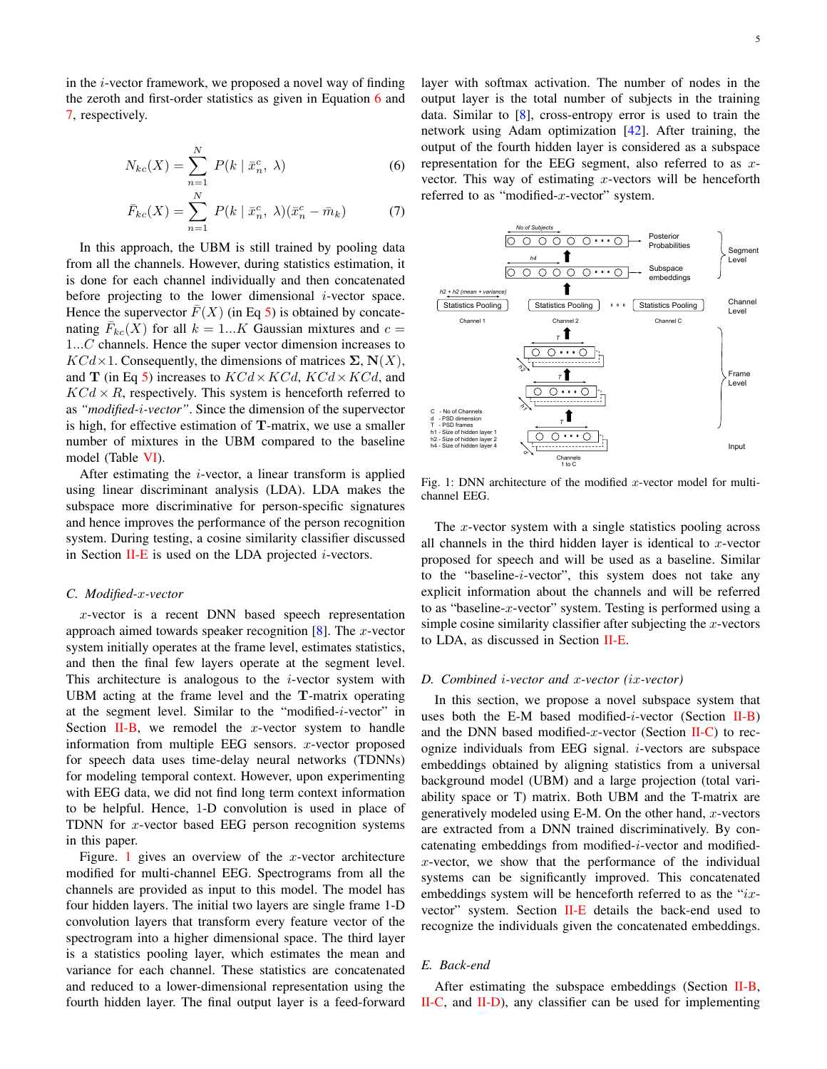in the i-vector framework, we proposed a novel way of finding the zeroth and first-order statistics as given in Equation 6 and 7, respectively.

$$
N_{kc}(X) = \sum_{n=1}^{N} P(k \mid \bar{x}_n^c, \lambda)
$$
 (6)

$$
\bar{F}_{kc}(X) = \sum_{n=1}^{N} P(k \mid \bar{x}_n^c, \lambda)(\bar{x}_n^c - \bar{m}_k)
$$
 (7)

In this approach, the UBM is still trained by pooling data from all the channels. However, during statistics estimation, it is done for each channel individually and then concatenated before projecting to the lower dimensional  $i$ -vector space. Hence the supervector  $\overline{F}(X)$  (in Eq 5) is obtained by concatenating  $\bar{F}_{kc}(X)$  for all  $k = 1...K$  Gaussian mixtures and  $c =$ 1...C channels. Hence the super vector dimension increases to  $KCd\times1$ . Consequently, the dimensions of matrices  $\Sigma$ ,  $N(X)$ , and **T** (in Eq 5) increases to  $KCd \times KCd$ ,  $KCd \times KCd$ , and  $KCd \times R$ , respectively. This system is henceforth referred to as *"modified-*i*-vector"*. Since the dimension of the supervector is high, for effective estimation of T-matrix, we use a smaller number of mixtures in the UBM compared to the baseline model (Table VI).

After estimating the  $i$ -vector, a linear transform is applied using linear discriminant analysis (LDA). LDA makes the subspace more discriminative for person-specific signatures and hence improves the performance of the person recognition system. During testing, a cosine similarity classifier discussed in Section II-E is used on the LDA projected  $i$ -vectors.

#### *C. Modified-*x*-vector*

x-vector is a recent DNN based speech representation approach aimed towards speaker recognition  $[8]$ . The *x*-vector system initially operates at the frame level, estimates statistics, and then the final few layers operate at the segment level. This architecture is analogous to the  $i$ -vector system with UBM acting at the frame level and the T-matrix operating at the segment level. Similar to the "modified-i-vector" in Section II-B, we remodel the  $x$ -vector system to handle information from multiple EEG sensors.  $x$ -vector proposed for speech data uses time-delay neural networks (TDNNs) for modeling temporal context. However, upon experimenting with EEG data, we did not find long term context information to be helpful. Hence, 1-D convolution is used in place of TDNN for  $x$ -vector based EEG person recognition systems in this paper.

Figure. 1 gives an overview of the  $x$ -vector architecture modified for multi-channel EEG. Spectrograms from all the channels are provided as input to this model. The model has four hidden layers. The initial two layers are single frame 1-D convolution layers that transform every feature vector of the spectrogram into a higher dimensional space. The third layer is a statistics pooling layer, which estimates the mean and variance for each channel. These statistics are concatenated and reduced to a lower-dimensional representation using the fourth hidden layer. The final output layer is a feed-forward layer with softmax activation. The number of nodes in the output layer is the total number of subjects in the training data. Similar to  $[8]$ , cross-entropy error is used to train the network using Adam optimization [42]. After training, the output of the fourth hidden layer is considered as a subspace representation for the EEG segment, also referred to as  $x$ vector. This way of estimating  $x$ -vectors will be henceforth referred to as "modified-x-vector" system.



Fig. 1: DNN architecture of the modified  $x$ -vector model for multichannel EEG.

The  $x$ -vector system with a single statistics pooling across all channels in the third hidden layer is identical to  $x$ -vector proposed for speech and will be used as a baseline. Similar to the "baseline-i-vector", this system does not take any explicit information about the channels and will be referred to as "baseline- $x$ -vector" system. Testing is performed using a simple cosine similarity classifier after subjecting the  $x$ -vectors to LDA, as discussed in Section II-E.

#### *D. Combined* i*-vector and* x*-vector (*ix*-vector)*

In this section, we propose a novel subspace system that uses both the E-M based modified-*i*-vector (Section  $II-B$ ) and the DNN based modified-x-vector (Section  $II-C$ ) to recognize individuals from EEG signal.  $i$ -vectors are subspace embeddings obtained by aligning statistics from a universal background model (UBM) and a large projection (total variability space or T) matrix. Both UBM and the T-matrix are generatively modeled using E-M. On the other hand,  $x$ -vectors are extracted from a DNN trained discriminatively. By concatenating embeddings from modified-i-vector and modified $x$ -vector, we show that the performance of the individual systems can be significantly improved. This concatenated embeddings system will be henceforth referred to as the " $ix$ vector" system. Section II-E details the back-end used to recognize the individuals given the concatenated embeddings.

# *E. Back-end*

After estimating the subspace embeddings (Section II-B, II-C, and II-D), any classifier can be used for implementing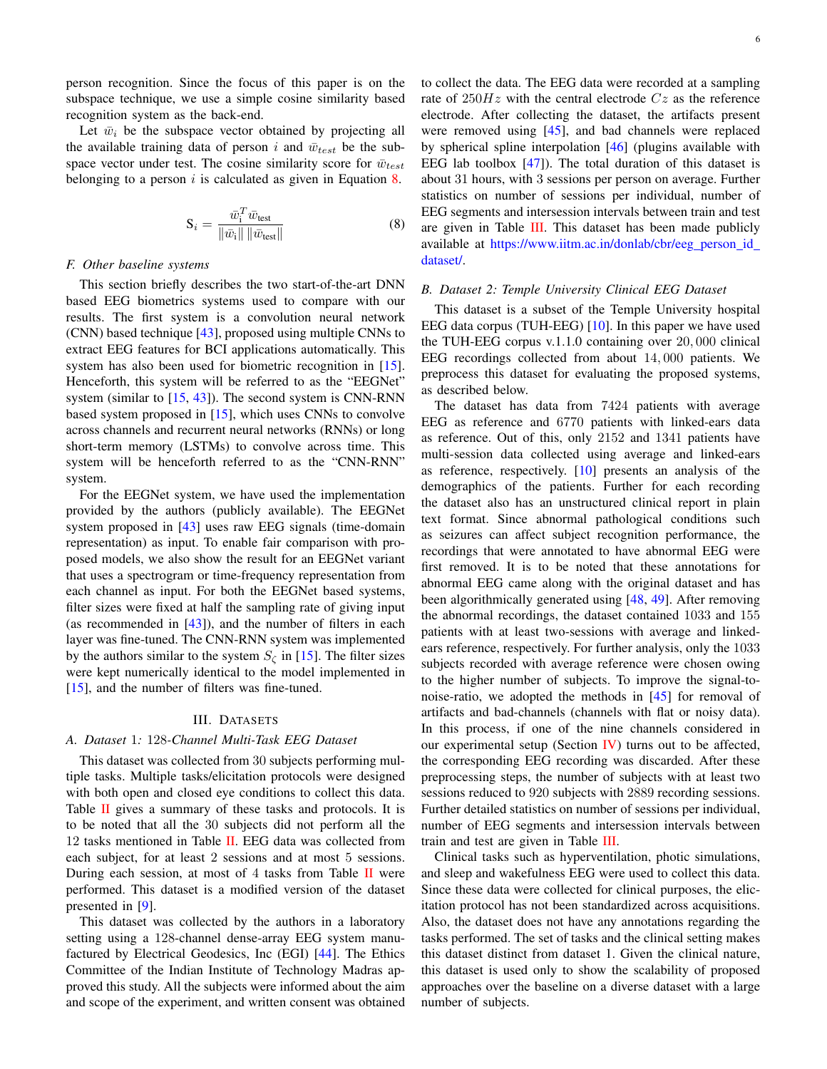person recognition. Since the focus of this paper is on the subspace technique, we use a simple cosine similarity based recognition system as the back-end.

Let  $\bar{w}_i$  be the subspace vector obtained by projecting all the available training data of person i and  $\bar{w}_{test}$  be the subspace vector under test. The cosine similarity score for  $\bar{w}_{test}$ belonging to a person  $i$  is calculated as given in Equation 8.

$$
\mathbf{S}_{i} = \frac{\bar{w}_{i}^{T} \bar{w}_{\text{test}}}{\|\bar{w}_{i}\| \|\bar{w}_{\text{test}}\|}
$$
(8)

# *F. Other baseline systems*

This section briefly describes the two start-of-the-art DNN based EEG biometrics systems used to compare with our results. The first system is a convolution neural network (CNN) based technique [43], proposed using multiple CNNs to extract EEG features for BCI applications automatically. This system has also been used for biometric recognition in [15]. Henceforth, this system will be referred to as the "EEGNet" system (similar to  $[15, 43]$ ). The second system is CNN-RNN based system proposed in [15], which uses CNNs to convolve across channels and recurrent neural networks (RNNs) or long short-term memory (LSTMs) to convolve across time. This system will be henceforth referred to as the "CNN-RNN" system.

For the EEGNet system, we have used the implementation provided by the authors (publicly available). The EEGNet system proposed in [43] uses raw EEG signals (time-domain representation) as input. To enable fair comparison with proposed models, we also show the result for an EEGNet variant that uses a spectrogram or time-frequency representation from each channel as input. For both the EEGNet based systems, filter sizes were fixed at half the sampling rate of giving input (as recommended in  $[43]$ ), and the number of filters in each layer was fine-tuned. The CNN-RNN system was implemented by the authors similar to the system  $S_{\zeta}$  in [15]. The filter sizes were kept numerically identical to the model implemented in [15], and the number of filters was fine-tuned.

#### III. DATASETS

#### *A. Dataset* 1*:* 128*-Channel Multi-Task EEG Dataset*

This dataset was collected from 30 subjects performing multiple tasks. Multiple tasks/elicitation protocols were designed with both open and closed eye conditions to collect this data. Table  $II$  gives a summary of these tasks and protocols. It is to be noted that all the 30 subjects did not perform all the 12 tasks mentioned in Table II. EEG data was collected from each subject, for at least 2 sessions and at most 5 sessions. During each session, at most of 4 tasks from Table II were performed. This dataset is a modified version of the dataset presented in [9].

This dataset was collected by the authors in a laboratory setting using a 128-channel dense-array EEG system manufactured by Electrical Geodesics, Inc (EGI) [44]. The Ethics Committee of the Indian Institute of Technology Madras approved this study. All the subjects were informed about the aim and scope of the experiment, and written consent was obtained to collect the data. The EEG data were recorded at a sampling rate of  $250Hz$  with the central electrode  $Cz$  as the reference electrode. After collecting the dataset, the artifacts present were removed using [45], and bad channels were replaced by spherical spline interpolation [46] (plugins available with EEG lab toolbox  $[47]$ ). The total duration of this dataset is about 31 hours, with 3 sessions per person on average. Further statistics on number of sessions per individual, number of EEG segments and intersession intervals between train and test are given in Table III. This dataset has been made publicly available at https://www.iitm.ac.in/donlab/cbr/eeg\_person\_id\_ dataset/.

## *B. Dataset 2: Temple University Clinical EEG Dataset*

This dataset is a subset of the Temple University hospital EEG data corpus (TUH-EEG) [10]. In this paper we have used the TUH-EEG corpus v.1.1.0 containing over 20, 000 clinical EEG recordings collected from about 14, 000 patients. We preprocess this dataset for evaluating the proposed systems, as described below.

The dataset has data from 7424 patients with average EEG as reference and 6770 patients with linked-ears data as reference. Out of this, only 2152 and 1341 patients have multi-session data collected using average and linked-ears as reference, respectively. [10] presents an analysis of the demographics of the patients. Further for each recording the dataset also has an unstructured clinical report in plain text format. Since abnormal pathological conditions such as seizures can affect subject recognition performance, the recordings that were annotated to have abnormal EEG were first removed. It is to be noted that these annotations for abnormal EEG came along with the original dataset and has been algorithmically generated using [48, 49]. After removing the abnormal recordings, the dataset contained 1033 and 155 patients with at least two-sessions with average and linkedears reference, respectively. For further analysis, only the 1033 subjects recorded with average reference were chosen owing to the higher number of subjects. To improve the signal-tonoise-ratio, we adopted the methods in [45] for removal of artifacts and bad-channels (channels with flat or noisy data). In this process, if one of the nine channels considered in our experimental setup (Section IV) turns out to be affected, the corresponding EEG recording was discarded. After these preprocessing steps, the number of subjects with at least two sessions reduced to 920 subjects with 2889 recording sessions. Further detailed statistics on number of sessions per individual, number of EEG segments and intersession intervals between train and test are given in Table III.

Clinical tasks such as hyperventilation, photic simulations, and sleep and wakefulness EEG were used to collect this data. Since these data were collected for clinical purposes, the elicitation protocol has not been standardized across acquisitions. Also, the dataset does not have any annotations regarding the tasks performed. The set of tasks and the clinical setting makes this dataset distinct from dataset 1. Given the clinical nature, this dataset is used only to show the scalability of proposed approaches over the baseline on a diverse dataset with a large number of subjects.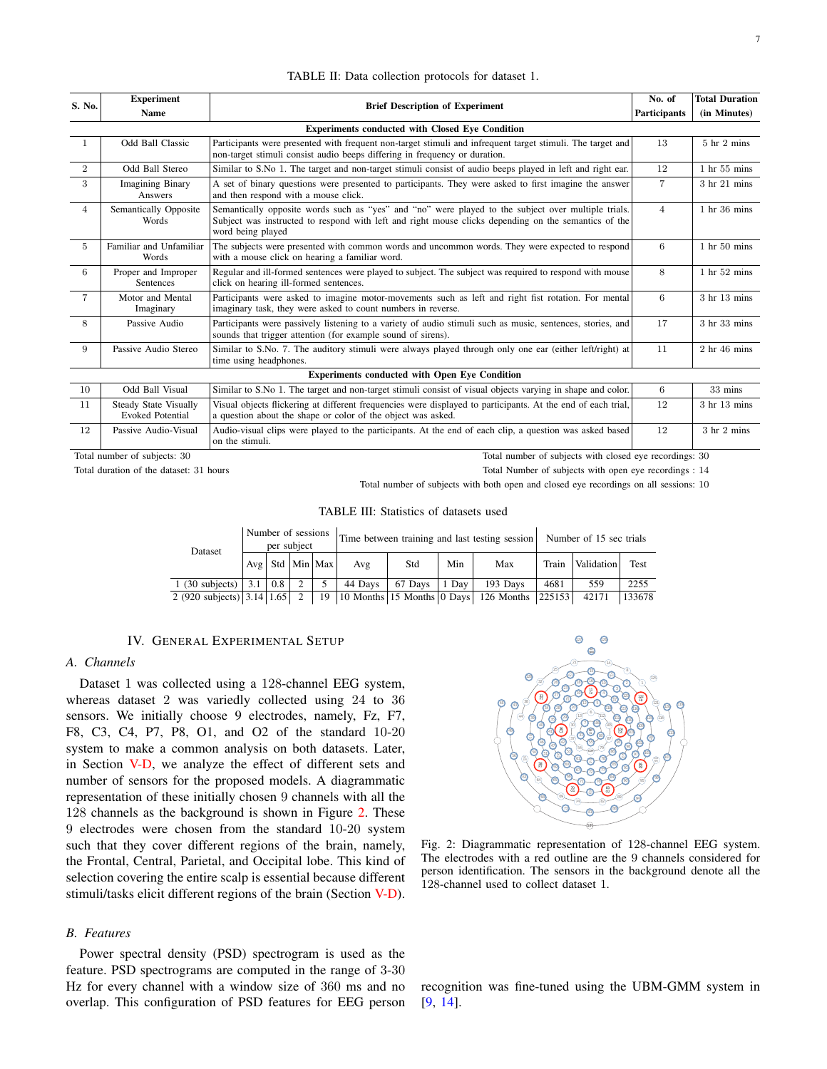| S. No.         | <b>Experiment</b><br><b>Name</b>                        | <b>Brief Description of Experiment</b>                                                                                                                                                                                           | No. of<br><b>Participants</b> | <b>Total Duration</b><br>(in Minutes) |
|----------------|---------------------------------------------------------|----------------------------------------------------------------------------------------------------------------------------------------------------------------------------------------------------------------------------------|-------------------------------|---------------------------------------|
|                |                                                         | <b>Experiments conducted with Closed Eve Condition</b>                                                                                                                                                                           |                               |                                       |
| $\mathbf{1}$   | Odd Ball Classic                                        | Participants were presented with frequent non-target stimuli and infrequent target stimuli. The target and<br>non-target stimuli consist audio beeps differing in frequency or duration.                                         | 13                            | $5$ hr $2$ mins                       |
| $\overline{2}$ | Odd Ball Stereo                                         | Similar to S.No 1. The target and non-target stimuli consist of audio beeps played in left and right ear.                                                                                                                        | 12                            | 1 hr 55 mins                          |
| 3              | <b>Imagining Binary</b><br>Answers                      | A set of binary questions were presented to participants. They were asked to first imagine the answer<br>and then respond with a mouse click.                                                                                    | $\overline{7}$                | 3 hr 21 mins                          |
| $\overline{4}$ | Semantically Opposite<br>Words                          | Semantically opposite words such as "yes" and "no" were played to the subject over multiple trials.<br>Subject was instructed to respond with left and right mouse clicks depending on the semantics of the<br>word being played | $\overline{4}$                | $1$ hr 36 mins                        |
| 5              | Familiar and Unfamiliar<br>Words                        | The subjects were presented with common words and uncommon words. They were expected to respond<br>with a mouse click on hearing a familiar word.                                                                                | 6                             | $1$ hr $50$ mins                      |
| 6              | Proper and Improper<br>Sentences                        | Regular and ill-formed sentences were played to subject. The subject was required to respond with mouse<br>click on hearing ill-formed sentences.                                                                                | 8                             | 1 hr 52 mins                          |
| $\overline{7}$ | Motor and Mental<br>Imaginary                           | Participants were asked to imagine motor-movements such as left and right fist rotation. For mental<br>imaginary task, they were asked to count numbers in reverse.                                                              | 6                             | 3 hr 13 mins                          |
| 8              | Passive Audio                                           | Participants were passively listening to a variety of audio stimuli such as music, sentences, stories, and<br>sounds that trigger attention (for example sound of sirens).                                                       | 17                            | 3 hr 33 mins                          |
| 9              | Passive Audio Stereo                                    | Similar to S.No. 7. The auditory stimuli were always played through only one ear (either left/right) at<br>time using headphones.                                                                                                | 11                            | $2hr$ 46 mins                         |
|                |                                                         | <b>Experiments conducted with Open Eve Condition</b>                                                                                                                                                                             |                               |                                       |
| 10             | Odd Ball Visual                                         | Similar to S.No 1. The target and non-target stimuli consist of visual objects varying in shape and color.                                                                                                                       | 6                             | 33 mins                               |
| 11             | <b>Steady State Visually</b><br><b>Evoked Potential</b> | Visual objects flickering at different frequencies were displayed to participants. At the end of each trial,<br>a question about the shape or color of the object was asked.                                                     | 12                            | 3 hr 13 mins                          |
| 12             | Passive Audio-Visual                                    | Audio-visual clips were played to the participants. At the end of each clip, a question was asked based                                                                                                                          | 12                            | $3 \text{ hr} 2 \text{ mins}$         |

TABLE II: Data collection protocols for dataset 1.

Total number of subjects: 30 Total number of subjects with closed eye recordings: 30

Total duration of the dataset: 31 hours Total Number of subjects with open eye recordings : 14

Total number of subjects with both open and closed eye recordings on all sessions: 10

### TABLE III: Statistics of datasets used

| Dataset                      | Number of sessions<br>per subject |     |               |                       | Time between training and last testing session |         |       |                                                                       | Number of 15 sec trials |            |        |
|------------------------------|-----------------------------------|-----|---------------|-----------------------|------------------------------------------------|---------|-------|-----------------------------------------------------------------------|-------------------------|------------|--------|
|                              |                                   |     |               | $Avg$ Std $ Min Max $ | Avg                                            | Std     | Min   | Max                                                                   | Train                   | Validation | Test   |
| 1 (30 subjects) $\vert$ 3.1  |                                   | 0.8 | $\mathcal{D}$ |                       | 44 Days                                        | 67 Davs | 1 Dav | 193 Days                                                              | 4681                    | 559        | 2255   |
| 2 (920 subjects) 3.14   1.65 |                                   |     |               | 19                    |                                                |         |       | $\vert$ 10 Months $\vert$ 15 Months $\vert$ 0 Days $\vert$ 126 Months | 225153                  | 42171      | 133678 |

#### IV. GENERAL EXPERIMENTAL SETUP

on the stimuli.

## *A. Channels*

Dataset 1 was collected using a 128-channel EEG system, whereas dataset 2 was variedly collected using 24 to 36 sensors. We initially choose 9 electrodes, namely, Fz, F7, F8, C3, C4, P7, P8, O1, and O2 of the standard 10-20 system to make a common analysis on both datasets. Later, in Section V-D, we analyze the effect of different sets and number of sensors for the proposed models. A diagrammatic representation of these initially chosen 9 channels with all the 128 channels as the background is shown in Figure 2. These 9 electrodes were chosen from the standard 10-20 system such that they cover different regions of the brain, namely, the Frontal, Central, Parietal, and Occipital lobe. This kind of selection covering the entire scalp is essential because different stimuli/tasks elicit different regions of the brain (Section V-D).

## *B. Features*

Power spectral density (PSD) spectrogram is used as the feature. PSD spectrograms are computed in the range of 3-30 Hz for every channel with a window size of 360 ms and no overlap. This configuration of PSD features for EEG person



Fig. 2: Diagrammatic representation of 128-channel EEG system. The electrodes with a red outline are the 9 channels considered for person identification. The sensors in the background denote all the 128-channel used to collect dataset 1.

recognition was fine-tuned using the UBM-GMM system in [9, 14].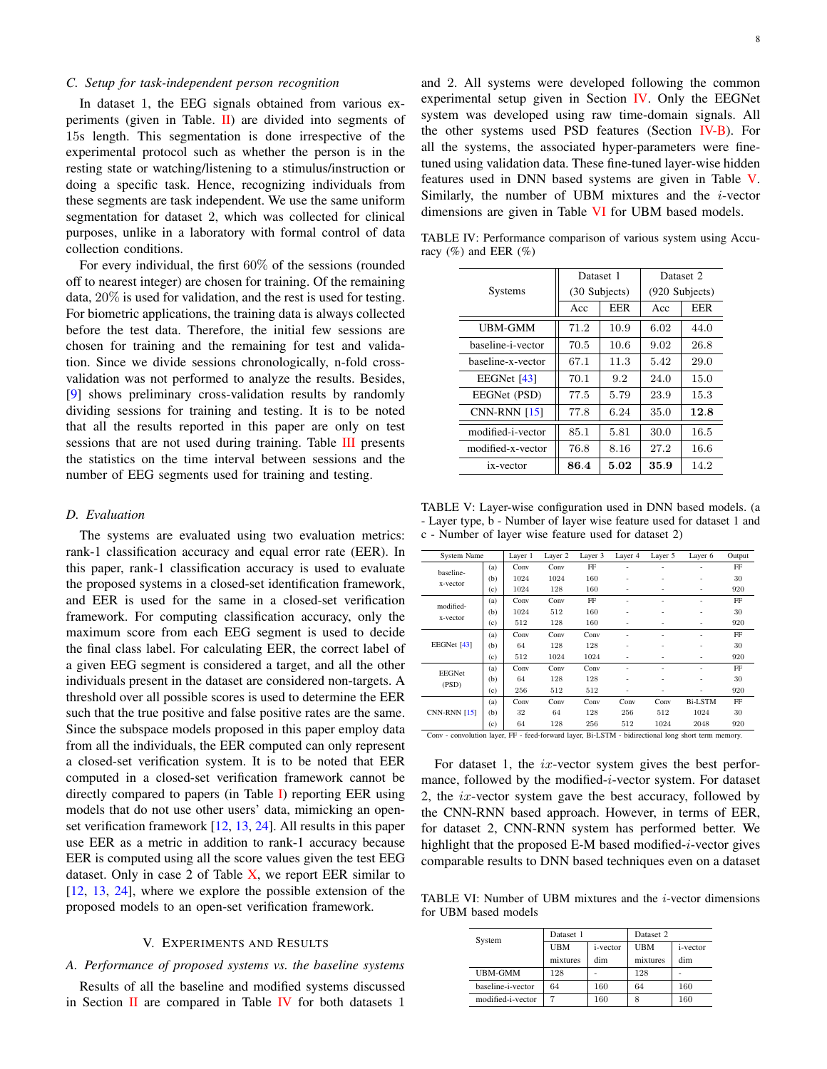## *C. Setup for task-independent person recognition*

In dataset 1, the EEG signals obtained from various experiments (given in Table.  $\mathbf{II}$ ) are divided into segments of 15s length. This segmentation is done irrespective of the experimental protocol such as whether the person is in the resting state or watching/listening to a stimulus/instruction or doing a specific task. Hence, recognizing individuals from these segments are task independent. We use the same uniform segmentation for dataset 2, which was collected for clinical purposes, unlike in a laboratory with formal control of data collection conditions.

For every individual, the first 60% of the sessions (rounded off to nearest integer) are chosen for training. Of the remaining data, 20% is used for validation, and the rest is used for testing. For biometric applications, the training data is always collected before the test data. Therefore, the initial few sessions are chosen for training and the remaining for test and validation. Since we divide sessions chronologically, n-fold crossvalidation was not performed to analyze the results. Besides, [9] shows preliminary cross-validation results by randomly dividing sessions for training and testing. It is to be noted that all the results reported in this paper are only on test sessions that are not used during training. Table **III** presents the statistics on the time interval between sessions and the number of EEG segments used for training and testing.

#### *D. Evaluation*

The systems are evaluated using two evaluation metrics: rank-1 classification accuracy and equal error rate (EER). In this paper, rank-1 classification accuracy is used to evaluate the proposed systems in a closed-set identification framework, and EER is used for the same in a closed-set verification framework. For computing classification accuracy, only the maximum score from each EEG segment is used to decide the final class label. For calculating EER, the correct label of a given EEG segment is considered a target, and all the other individuals present in the dataset are considered non-targets. A threshold over all possible scores is used to determine the EER such that the true positive and false positive rates are the same. Since the subspace models proposed in this paper employ data from all the individuals, the EER computed can only represent a closed-set verification system. It is to be noted that EER computed in a closed-set verification framework cannot be directly compared to papers (in Table I) reporting EER using models that do not use other users' data, mimicking an openset verification framework [12, 13, 24]. All results in this paper use EER as a metric in addition to rank-1 accuracy because EER is computed using all the score values given the test EEG dataset. Only in case 2 of Table  $X$ , we report EER similar to [12, 13, 24], where we explore the possible extension of the proposed models to an open-set verification framework.

## V. EXPERIMENTS AND RESULTS

# *A. Performance of proposed systems vs. the baseline systems*

Results of all the baseline and modified systems discussed in Section II are compared in Table IV for both datasets  $1$ 

and 2. All systems were developed following the common experimental setup given in Section IV. Only the EEGNet system was developed using raw time-domain signals. All the other systems used PSD features (Section IV-B). For all the systems, the associated hyper-parameters were finetuned using validation data. These fine-tuned layer-wise hidden features used in DNN based systems are given in Table V. Similarly, the number of UBM mixtures and the  $i$ -vector dimensions are given in Table VI for UBM based models.

TABLE IV: Performance comparison of various system using Accuracy  $(\%)$  and EER  $(\%)$ 

|                     | Dataset 1 |               | Dataset 2      |            |  |
|---------------------|-----------|---------------|----------------|------------|--|
| Systems             |           | (30 Subjects) | (920 Subjects) |            |  |
|                     | Acc       | <b>EER</b>    | Acc            | <b>EER</b> |  |
| <b>UBM-GMM</b>      | 71.2      | 10.9          | 6.02           | 44.0       |  |
| baseline-i-vector   | 70.5      | 10.6          | 9.02           | 26.8       |  |
| baseline-x-vector   | 67.1      | 11.3          | 5.42           | 29.0       |  |
| EEGNet [43]         | 70.1      | 9.2           | 24.0           | 15.0       |  |
| EEGNet (PSD)        | 77.5      | 5.79          | 23.9           | 15.3       |  |
| <b>CNN-RNN [15]</b> | 77.8      | 6.24          | 35.0           | 12.8       |  |
| modified-i-vector   | 85.1      | 5.81          | 30.0           | 16.5       |  |
| modified-x-vector   | 76.8      | 8.16          | 27.2           | 16.6       |  |
| ix-vector           | 86.4      | 5.02          | 35.9           | 14.2       |  |

TABLE V: Layer-wise configuration used in DNN based models. (a - Layer type, b - Number of layer wise feature used for dataset 1 and c - Number of layer wise feature used for dataset 2)

| System Name         |     | Layer 1 | Layer 2 | Layer 3 | Layer 4 | Layer 5 | Layer 6        | Output |
|---------------------|-----|---------|---------|---------|---------|---------|----------------|--------|
| baseline-           | (a) | Conv    | Conv    | FF      | ٠       | ٠       |                | FF     |
|                     | (b) | 1024    | 1024    | 160     | ٠       | ٠       | ٠              | 30     |
| x-vector            | (c) | 1024    | 128     | 160     | ٠       | ٠       | ٠              | 920    |
| modified-           | (a) | Conv    | Conv    | FF      | ٠       | ٠       | ٠              | FF     |
|                     | (b) | 1024    | 512     | 160     | ٠       | ۰       | ٠              | 30     |
| x-vector            | (c) | 512     | 128     | 160     | ٠       | ۰       | ٠              | 920    |
|                     | (a) | Conv    | Conv    | Conv    | ٠       | ٠       | ٠              | FF     |
| EEGNet [43]         | (b) | 64      | 128     | 128     | ٠       | ۰       | ٠              | 30     |
|                     | (c) | 512     | 1024    | 1024    | ٠       | ۰       | ٠              | 920    |
| <b>EEGNet</b>       | (a) | Conv    | Conv    | Conv    | ٠       | ۰       | ٠              | FF     |
| (PSD)               | (b) | 64      | 128     | 128     | ٠       | ۰       | ٠              | 30     |
|                     | (c) | 256     | 512     | 512     | ٠       | ۰       | ٠              | 920    |
|                     | (a) | Conv    | Conv    | Conv    | Conv    | Conv    | <b>Bi-LSTM</b> | FF     |
| <b>CNN-RNN [15]</b> | (b) | 32      | 64      | 128     | 256     | 512     | 1024           | 30     |
|                     | (c) | 64      | 128     | 256     | 512     | 1024    | 2048           | 920    |

Conv - convolution layer, FF - feed-forward layer, Bi-LSTM - bidirectional long short term memory.

For dataset 1, the *ix*-vector system gives the best performance, followed by the modified-i-vector system. For dataset 2, the  $ix$ -vector system gave the best accuracy, followed by the CNN-RNN based approach. However, in terms of EER, for dataset 2, CNN-RNN system has performed better. We highlight that the proposed E-M based modified-i-vector gives comparable results to DNN based techniques even on a dataset

TABLE VI: Number of UBM mixtures and the  $i$ -vector dimensions for UBM based models

| System            | Dataset 1  |                  | Dataset 2 |                  |  |
|-------------------|------------|------------------|-----------|------------------|--|
|                   | <b>UBM</b> | <i>i</i> -vector | UBM       | <i>i</i> -vector |  |
|                   | mixtures   | dim              | mixtures  | dim              |  |
| <b>UBM-GMM</b>    | 128        |                  | 128       |                  |  |
| baseline-i-vector | 64         | 160              | 64        | 160              |  |
| modified-i-vector |            | 160              | 8         | 160              |  |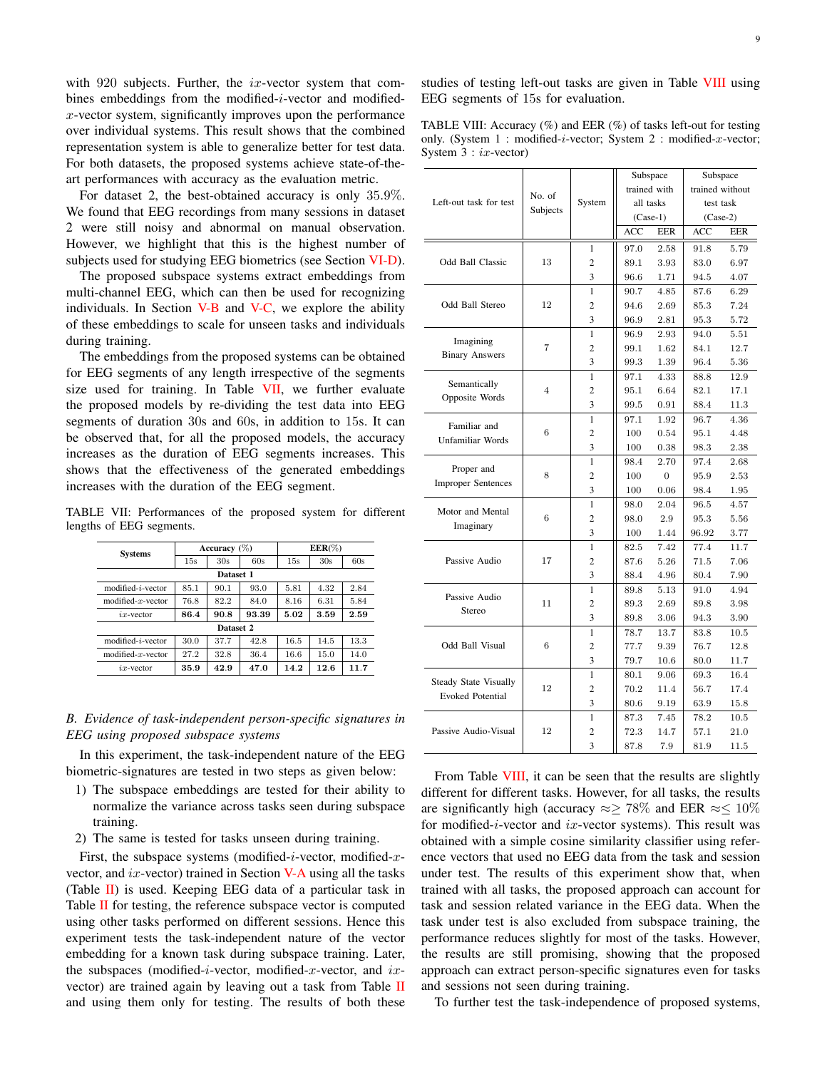with  $920$  subjects. Further, the *ix*-vector system that combines embeddings from the modified-i-vector and modifiedx-vector system, significantly improves upon the performance over individual systems. This result shows that the combined representation system is able to generalize better for test data. For both datasets, the proposed systems achieve state-of-theart performances with accuracy as the evaluation metric.

For dataset 2, the best-obtained accuracy is only 35.9%. We found that EEG recordings from many sessions in dataset 2 were still noisy and abnormal on manual observation. However, we highlight that this is the highest number of subjects used for studying EEG biometrics (see Section VI-D).

The proposed subspace systems extract embeddings from multi-channel EEG, which can then be used for recognizing individuals. In Section V-B and V-C, we explore the ability of these embeddings to scale for unseen tasks and individuals during training.

The embeddings from the proposed systems can be obtained for EEG segments of any length irrespective of the segments size used for training. In Table VII, we further evaluate the proposed models by re-dividing the test data into EEG segments of duration 30s and 60s, in addition to 15s. It can be observed that, for all the proposed models, the accuracy increases as the duration of EEG segments increases. This shows that the effectiveness of the generated embeddings increases with the duration of the EEG segment.

TABLE VII: Performances of the proposed system for different lengths of EEG segments.

| <b>Systems</b>             |      | Accuracy $(\%)$ |       | $EER(\%)$ |      |      |  |  |  |  |
|----------------------------|------|-----------------|-------|-----------|------|------|--|--|--|--|
|                            | 15s  | 30s             | 60s   | 15s       | 30s  | 60s  |  |  |  |  |
| Dataset 1                  |      |                 |       |           |      |      |  |  |  |  |
| modified- <i>i</i> -vector | 85.1 | 90.1            | 93.0  | 5.81      | 4.32 | 2.84 |  |  |  |  |
| modified- $x$ -vector      | 76.8 | 82.2            | 84.0  | 8.16      | 6.31 | 5.84 |  |  |  |  |
| $ix$ -vector               | 86.4 | 90.8            | 93.39 | 5.02      | 3.59 | 2.59 |  |  |  |  |
|                            |      | Dataset 2       |       |           |      |      |  |  |  |  |
| $modified - i - vector$    | 30.0 | 37.7            | 42.8  | 16.5      | 14.5 | 13.3 |  |  |  |  |
| modified- $x$ -vector      | 27.2 | 32.8            | 36.4  | 16.6      | 15.0 | 14.0 |  |  |  |  |
| $ix$ -vector               | 35.9 | 42.9            | 47.0  | 14.2      | 12.6 | 11.7 |  |  |  |  |

# *B. Evidence of task-independent person-specific signatures in EEG using proposed subspace systems*

In this experiment, the task-independent nature of the EEG biometric-signatures are tested in two steps as given below:

- 1) The subspace embeddings are tested for their ability to normalize the variance across tasks seen during subspace training.
- 2) The same is tested for tasks unseen during training.

First, the subspace systems (modified-i-vector, modified-xvector, and  $ix$ -vector) trained in Section V-A using all the tasks (Table II) is used. Keeping EEG data of a particular task in Table  $II$  for testing, the reference subspace vector is computed using other tasks performed on different sessions. Hence this experiment tests the task-independent nature of the vector embedding for a known task during subspace training. Later, the subspaces (modified-i-vector, modified-x-vector, and  $ix$ vector) are trained again by leaving out a task from Table II and using them only for testing. The results of both these studies of testing left-out tasks are given in Table VIII using EEG segments of 15s for evaluation.

TABLE VIII: Accuracy  $(\%)$  and EER  $(\%)$  of tasks left-out for testing only. (System 1 : modified-i-vector; System 2 : modified-x-vector; System  $3 : ix$ -vector)

|                              |                |                | Subspace |                | Subspace        |      |  |
|------------------------------|----------------|----------------|----------|----------------|-----------------|------|--|
|                              | No. of         |                |          | trained with   | trained without |      |  |
| Left-out task for test       | Subjects       | System         |          | all tasks      | test task       |      |  |
|                              |                |                |          | $(Case-1)$     | $(Case-2)$      |      |  |
|                              |                |                | ACC      | EER            | ACC             | EER  |  |
|                              |                | 1              | 97.0     | 2.58           | 91.8            | 5.79 |  |
| Odd Ball Classic             | 13             | $\overline{c}$ | 89.1     | $3.93\,$       | 83.0            | 6.97 |  |
|                              |                | 3              | 96.6     | 1.71           | 94.5            | 4.07 |  |
|                              |                | 1              | 90.7     | 4.85           | 87.6            | 6.29 |  |
| Odd Ball Stereo              | 12             | $\overline{c}$ | 94.6     | 2.69           | 85.3            | 7.24 |  |
|                              |                | 3              | 96.9     | 2.81           | 95.3            | 5.72 |  |
| Imagining                    |                | 1              | 96.9     | 2.93           | 94.0            | 5.51 |  |
| <b>Binary Answers</b>        | 7              | $\overline{c}$ | 99.1     | 1.62           | 84.1            | 12.7 |  |
|                              |                | 3              | 99.3     | 1.39           | 96.4            | 5.36 |  |
| Semantically                 |                | $\mathbf{1}$   | 97.1     | 4.33           | 88.8            | 12.9 |  |
| Opposite Words               | $\overline{4}$ | 2              | 95.1     | 6.64           | 82.1            | 17.1 |  |
|                              |                | 3              | 99.5     | 0.91           | 88.4            | 11.3 |  |
| Familiar and                 |                | $\mathbf{1}$   | 97.1     | 1.92           | 96.7            | 4.36 |  |
| <b>Unfamiliar Words</b>      | 6              | $\overline{c}$ | 100      | 0.54           | 95.1            | 4.48 |  |
|                              |                | 3              | 100      | 0.38           | 98.3            | 2.38 |  |
| Proper and                   |                | 1              | 98.4     | 2.70           | 97.4            | 2.68 |  |
| <b>Improper Sentences</b>    | 8              | $\overline{c}$ | 100      | $\overline{0}$ | 95.9            | 2.53 |  |
|                              |                | 3              | 100      | 0.06           | 98.4            | 1.95 |  |
| Motor and Mental             |                | 1              | 98.0     | 2.04           | 96.5            | 4.57 |  |
| Imaginary                    | 6              | 2              | 98.0     | 2.9            | 95.3            | 5.56 |  |
|                              |                | 3              | 100      | 1.44           | 96.92           | 3.77 |  |
|                              |                | 1              | 82.5     | 7.42           | 77.4            | 11.7 |  |
| Passive Audio                | 17             | $\overline{c}$ | 87.6     | 5.26           | 71.5            | 7.06 |  |
|                              |                | 3              | 88.4     | 4.96           | 80.4            | 7.90 |  |
| Passive Audio                |                | 1              | 89.8     | 5.13           | 91.0            | 4.94 |  |
| Stereo                       | 11             | $\overline{c}$ | 89.3     | 2.69           | 89.8            | 3.98 |  |
|                              |                | 3              | 89.8     | 3.06           | 94.3            | 3.90 |  |
|                              |                | 1              | 78.7     | 13.7           | 83.8            | 10.5 |  |
| Odd Ball Visual              | 6              | $\overline{c}$ | 77.7     | 9.39           | 76.7            | 12.8 |  |
|                              |                | 3              | 79.7     | 10.6           | 80.0            | 11.7 |  |
| <b>Steady State Visually</b> |                | 1              | 80.1     | 9.06           | 69.3            | 16.4 |  |
| <b>Evoked Potential</b>      | 12             | 2              | 70.2     | 11.4           | 56.7            | 17.4 |  |
|                              |                | 3              | 80.6     | 9.19           | 63.9            | 15.8 |  |
|                              |                | 1              | 87.3     | 7.45           | 78.2            | 10.5 |  |
| Passive Audio-Visual         | 12             | $\overline{c}$ | 72.3     | 14.7           | 57.1            | 21.0 |  |
|                              |                | 3              | 87.8     | 7.9            | 81.9            | 11.5 |  |

From Table VIII, it can be seen that the results are slightly different for different tasks. However, for all tasks, the results are significantly high (accuracy  $\approx \geq 78\%$  and EER  $\approx \leq 10\%$ for modified-*i*-vector and  $ix$ -vector systems). This result was obtained with a simple cosine similarity classifier using reference vectors that used no EEG data from the task and session under test. The results of this experiment show that, when trained with all tasks, the proposed approach can account for task and session related variance in the EEG data. When the task under test is also excluded from subspace training, the performance reduces slightly for most of the tasks. However, the results are still promising, showing that the proposed approach can extract person-specific signatures even for tasks and sessions not seen during training.

To further test the task-independence of proposed systems,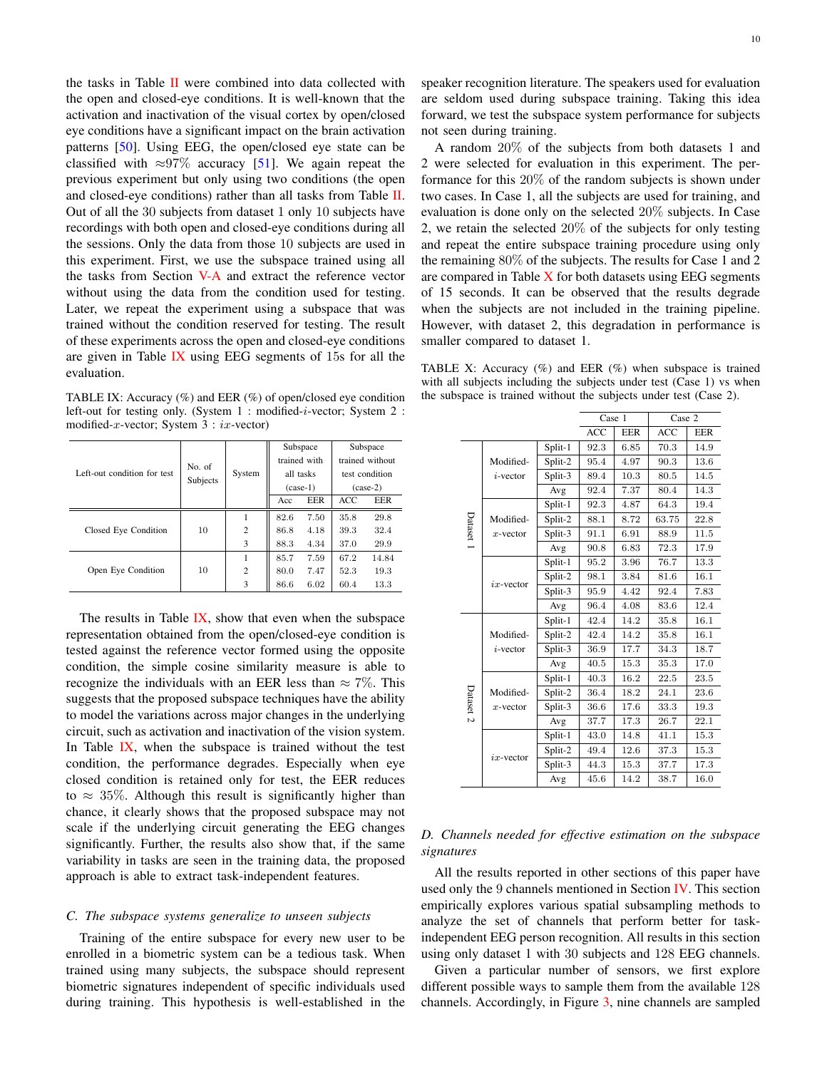the tasks in Table  $II$  were combined into data collected with the open and closed-eye conditions. It is well-known that the activation and inactivation of the visual cortex by open/closed eye conditions have a significant impact on the brain activation patterns [50]. Using EEG, the open/closed eye state can be classified with  $\approx 97\%$  accuracy [51]. We again repeat the previous experiment but only using two conditions (the open and closed-eye conditions) rather than all tasks from Table II. Out of all the 30 subjects from dataset 1 only 10 subjects have recordings with both open and closed-eye conditions during all the sessions. Only the data from those 10 subjects are used in this experiment. First, we use the subspace trained using all the tasks from Section V-A and extract the reference vector without using the data from the condition used for testing. Later, we repeat the experiment using a subspace that was trained without the condition reserved for testing. The result of these experiments across the open and closed-eye conditions are given in Table IX using EEG segments of 15s for all the evaluation.

TABLE IX: Accuracy  $(\%)$  and EER  $(\%)$  of open/closed eye condition left-out for testing only. (System 1 : modified-i-vector; System 2 : modified-x-vector; System  $3 : ix$ -vector)

|                             |                    |                | trained with | Subspace   | Subspace<br>trained without |       |
|-----------------------------|--------------------|----------------|--------------|------------|-----------------------------|-------|
| Left-out condition for test | No. of<br>Subjects | System         |              | all tasks  | test condition              |       |
|                             |                    |                |              | $(case-1)$ | $(case-2)$                  |       |
|                             |                    |                | Acc          | EER        | ACC                         | EER   |
|                             |                    |                | 82.6         | 7.50       | 35.8                        | 29.8  |
| Closed Eye Condition        | 10                 | $\overline{c}$ | 86.8         | 4.18       | 39.3                        | 32.4  |
|                             |                    | 3              | 88.3         | 4.34       | 37.0                        | 29.9  |
|                             |                    |                | 85.7         | 7.59       | 67.2                        | 14.84 |
| Open Eye Condition          | 10                 | $\overline{c}$ | 80.0         | 7.47       | 52.3                        | 19.3  |
|                             |                    | 3              | 86.6         | 6.02       | 60.4                        | 13.3  |

The results in Table  $\overline{IX}$ , show that even when the subspace representation obtained from the open/closed-eye condition is tested against the reference vector formed using the opposite condition, the simple cosine similarity measure is able to recognize the individuals with an EER less than  $\approx 7\%$ . This suggests that the proposed subspace techniques have the ability to model the variations across major changes in the underlying circuit, such as activation and inactivation of the vision system. In Table IX, when the subspace is trained without the test condition, the performance degrades. Especially when eye closed condition is retained only for test, the EER reduces to  $\approx 35\%$ . Although this result is significantly higher than chance, it clearly shows that the proposed subspace may not scale if the underlying circuit generating the EEG changes significantly. Further, the results also show that, if the same variability in tasks are seen in the training data, the proposed approach is able to extract task-independent features.

## *C. The subspace systems generalize to unseen subjects*

Training of the entire subspace for every new user to be enrolled in a biometric system can be a tedious task. When trained using many subjects, the subspace should represent biometric signatures independent of specific individuals used during training. This hypothesis is well-established in the

speaker recognition literature. The speakers used for evaluation are seldom used during subspace training. Taking this idea forward, we test the subspace system performance for subjects not seen during training.

A random 20% of the subjects from both datasets 1 and 2 were selected for evaluation in this experiment. The performance for this 20% of the random subjects is shown under two cases. In Case 1, all the subjects are used for training, and evaluation is done only on the selected 20% subjects. In Case 2, we retain the selected 20% of the subjects for only testing and repeat the entire subspace training procedure using only the remaining 80% of the subjects. The results for Case 1 and 2 are compared in Table  $X$  for both datasets using EEG segments of 15 seconds. It can be observed that the results degrade when the subjects are not included in the training pipeline. However, with dataset 2, this degradation in performance is smaller compared to dataset 1.

TABLE X: Accuracy  $(\%)$  and EER  $(\%)$  when subspace is trained with all subjects including the subjects under test (Case 1) vs when the subspace is trained without the subjects under test (Case 2).

|           |              |         | Case 1     |            | Case 2     |            |
|-----------|--------------|---------|------------|------------|------------|------------|
|           |              |         | <b>ACC</b> | <b>EER</b> | <b>ACC</b> | <b>EER</b> |
|           |              | Split-1 | 92.3       | 6.85       | 70.3       | 14.9       |
|           | Modified-    | Split-2 | 95.4       | 4.97       | 90.3       | 13.6       |
| Dataset 1 | $i$ -vector  | Split-3 | 89.4       | 10.3       | 80.5       | 14.5       |
|           |              | Avg     | 92.4       | 7.37       | 80.4       | 14.3       |
|           |              | Split-1 | 92.3       | 4.87       | 64.3       | 19.4       |
|           | Modified-    | Split-2 | 88.1       | 8.72       | 63.75      | 22.8       |
|           | $x$ -vector  | Split-3 | 91.1       | 6.91       | 88.9       | 11.5       |
|           |              | Avg     | 90.8       | 6.83       | 72.3       | 17.9       |
|           |              | Split-1 | 95.2       | 3.96       | 76.7       | 13.3       |
|           | $ix$ -vector | Split-2 | 98.1       | 3.84       | 81.6       | 16.1       |
|           |              | Split-3 | 95.9       | 4.42       | 92.4       | 7.83       |
|           |              | Avg     | 96.4       | 4.08       | 83.6       | 12.4       |
|           |              | Split-1 | 42.4       | 14.2       | 35.8       | 16.1       |
|           | Modified-    | Split-2 | 42.4       | 14.2       | 35.8       | 16.1       |
|           | $i$ -vector  | Split-3 | 36.9       | 17.7       | 34.3       | 18.7       |
|           |              | Avg     | 40.5       | 15.3       | 35.3       | 17.0       |
|           |              | Split-1 | 40.3       | 16.2       | 22.5       | 23.5       |
| Dataset 2 | Modified-    | Split-2 | 36.4       | 18.2       | 24.1       | 23.6       |
|           | $x$ -vector  | Split-3 | 36.6       | 17.6       | 33.3       | 19.3       |
|           |              | Avg     | 37.7       | 17.3       | 26.7       | 22.1       |
|           |              | Split-1 | 43.0       | 14.8       | 41.1       | 15.3       |
|           | $ix$ -vector | Split-2 | 49.4       | 12.6       | 37.3       | 15.3       |
|           |              | Split-3 | 44.3       | 15.3       | 37.7       | 17.3       |
|           |              | Avg     | 45.6       | 14.2       | 38.7       | 16.0       |

# *D. Channels needed for effective estimation on the subspace signatures*

All the results reported in other sections of this paper have used only the 9 channels mentioned in Section IV. This section empirically explores various spatial subsampling methods to analyze the set of channels that perform better for taskindependent EEG person recognition. All results in this section using only dataset 1 with 30 subjects and 128 EEG channels.

Given a particular number of sensors, we first explore different possible ways to sample them from the available 128 channels. Accordingly, in Figure 3, nine channels are sampled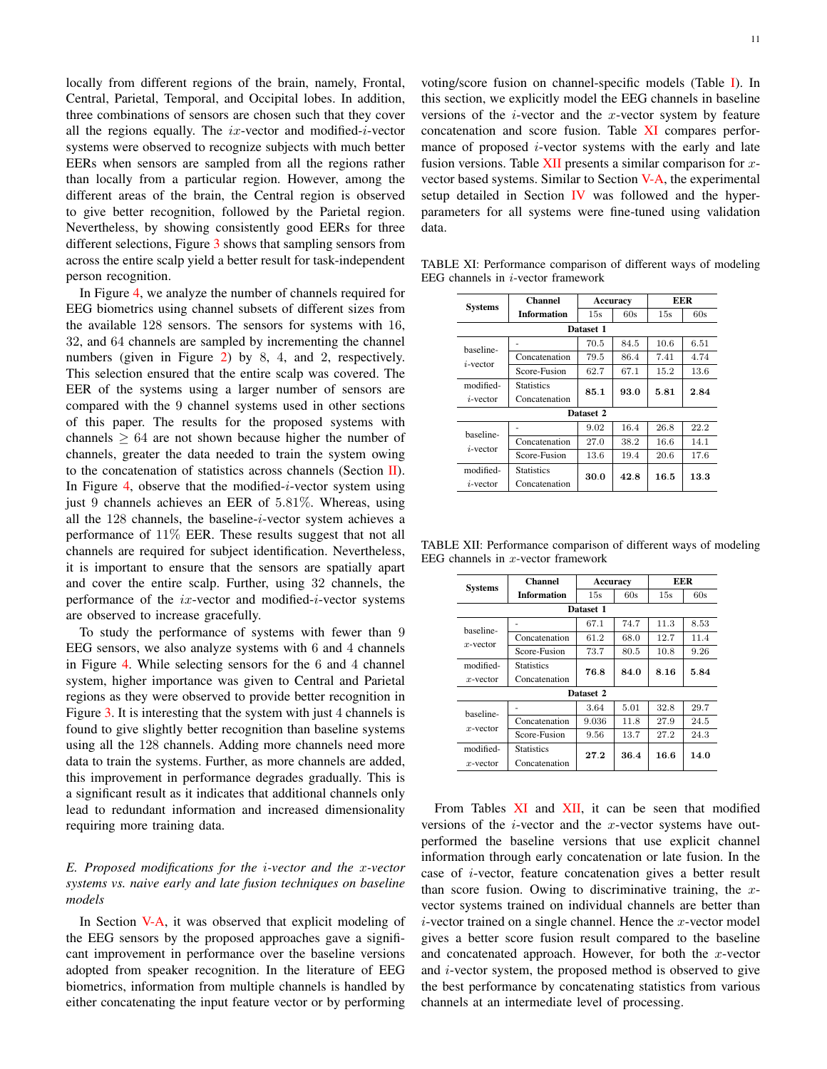locally from different regions of the brain, namely, Frontal, Central, Parietal, Temporal, and Occipital lobes. In addition, three combinations of sensors are chosen such that they cover all the regions equally. The  $ix$ -vector and modified-*i*-vector systems were observed to recognize subjects with much better EERs when sensors are sampled from all the regions rather than locally from a particular region. However, among the different areas of the brain, the Central region is observed to give better recognition, followed by the Parietal region. Nevertheless, by showing consistently good EERs for three different selections, Figure 3 shows that sampling sensors from across the entire scalp yield a better result for task-independent person recognition.

In Figure 4, we analyze the number of channels required for EEG biometrics using channel subsets of different sizes from the available 128 sensors. The sensors for systems with 16, 32, and 64 channels are sampled by incrementing the channel numbers (given in Figure 2) by 8, 4, and 2, respectively. This selection ensured that the entire scalp was covered. The EER of the systems using a larger number of sensors are compared with the 9 channel systems used in other sections of this paper. The results for the proposed systems with channels  $\geq 64$  are not shown because higher the number of channels, greater the data needed to train the system owing to the concatenation of statistics across channels (Section II). In Figure 4, observe that the modified- $i$ -vector system using just 9 channels achieves an EER of 5.81%. Whereas, using all the 128 channels, the baseline-i-vector system achieves a performance of 11% EER. These results suggest that not all channels are required for subject identification. Nevertheless, it is important to ensure that the sensors are spatially apart and cover the entire scalp. Further, using 32 channels, the performance of the ix-vector and modified-i-vector systems are observed to increase gracefully.

To study the performance of systems with fewer than 9 EEG sensors, we also analyze systems with 6 and 4 channels in Figure 4. While selecting sensors for the 6 and 4 channel system, higher importance was given to Central and Parietal regions as they were observed to provide better recognition in Figure 3. It is interesting that the system with just 4 channels is found to give slightly better recognition than baseline systems using all the 128 channels. Adding more channels need more data to train the systems. Further, as more channels are added, this improvement in performance degrades gradually. This is a significant result as it indicates that additional channels only lead to redundant information and increased dimensionality requiring more training data.

# *E. Proposed modifications for the* i*-vector and the* x*-vector systems vs. naive early and late fusion techniques on baseline models*

In Section V-A, it was observed that explicit modeling of the EEG sensors by the proposed approaches gave a significant improvement in performance over the baseline versions adopted from speaker recognition. In the literature of EEG biometrics, information from multiple channels is handled by either concatenating the input feature vector or by performing

voting/score fusion on channel-specific models (Table I). In this section, we explicitly model the EEG channels in baseline versions of the  $i$ -vector and the  $x$ -vector system by feature concatenation and score fusion. Table XI compares performance of proposed  $i$ -vector systems with the early and late fusion versions. Table  $XII$  presents a similar comparison for xvector based systems. Similar to Section V-A, the experimental setup detailed in Section  *was followed and the hyper*parameters for all systems were fine-tuned using validation data.

| <b>Systems</b> | <b>Channel</b>    |           | Accuracy |      | EER  |  |  |  |
|----------------|-------------------|-----------|----------|------|------|--|--|--|
|                | Information       | 15s       | 60s      | 15s  | 60s  |  |  |  |
| Dataset 1      |                   |           |          |      |      |  |  |  |
| baseline-      |                   | 70.5      | 84.5     | 10.6 | 6.51 |  |  |  |
| $i$ -vector    | Concatenation     | 79.5      | 86.4     | 7.41 | 4.74 |  |  |  |
|                | Score-Fusion      | 62.7      | 67.1     | 15.2 | 13.6 |  |  |  |
| modified-      | <b>Statistics</b> | 85.1      | 93.0     | 5.81 | 2.84 |  |  |  |
| $i$ -vector    | Concatenation     |           |          |      |      |  |  |  |
|                |                   | Dataset 2 |          |      |      |  |  |  |
| haseline-      |                   | 9.02      | 16.4     | 26.8 | 22.2 |  |  |  |
| $i$ -vector    | Concatenation     | 27.0      | 38.2     | 16.6 | 14.1 |  |  |  |
|                | Score-Fusion      | 13.6      | 19.4     | 20.6 | 17.6 |  |  |  |
| modified-      | <b>Statistics</b> | 30.0      | 42.8     | 16.5 |      |  |  |  |
| $i$ -vector    | Concatenation     |           |          |      | 13.3 |  |  |  |

TABLE XI: Performance comparison of different ways of modeling EEG channels in  $i$ -vector framework

| TABLE XII: Performance comparison of different ways of modeling |  |  |
|-----------------------------------------------------------------|--|--|
| EEG channels in $x$ -vector framework                           |  |  |

| <b>Systems</b>           | <b>Channel</b>     | Accuracy |      | EER  |      |
|--------------------------|--------------------|----------|------|------|------|
|                          | <b>Information</b> | 15s      | 60s  | 15s  | 60s  |
| Dataset 1                |                    |          |      |      |      |
| baseline-<br>$x$ -vector |                    | 67.1     | 74.7 | 11.3 | 8.53 |
|                          | Concatenation      | 61.2     | 68.0 | 12.7 | 11.4 |
|                          | Score-Fusion       | 73.7     | 80.5 | 10.8 | 9.26 |
| modified-                | <b>Statistics</b>  | 76.8     | 84.0 | 8.16 | 5.84 |
| $x$ -vector              | Concatenation      |          |      |      |      |
| Dataset 2                |                    |          |      |      |      |
| baseline-<br>$x$ -vector |                    | 3.64     | 5.01 | 32.8 | 29.7 |
|                          | Concatenation      | 9.036    | 11.8 | 27.9 | 24.5 |
|                          | Score-Fusion       | 9.56     | 13.7 | 27.2 | 24.3 |
| modified-                | <b>Statistics</b>  | 27.2     | 36.4 | 16.6 | 14.0 |
| $x$ -vector              | Concatenation      |          |      |      |      |

From Tables XI and XII, it can be seen that modified versions of the  $i$ -vector and the  $x$ -vector systems have outperformed the baseline versions that use explicit channel information through early concatenation or late fusion. In the case of i-vector, feature concatenation gives a better result than score fusion. Owing to discriminative training, the  $x$ vector systems trained on individual channels are better than  $i$ -vector trained on a single channel. Hence the x-vector model gives a better score fusion result compared to the baseline and concatenated approach. However, for both the x-vector and i-vector system, the proposed method is observed to give the best performance by concatenating statistics from various channels at an intermediate level of processing.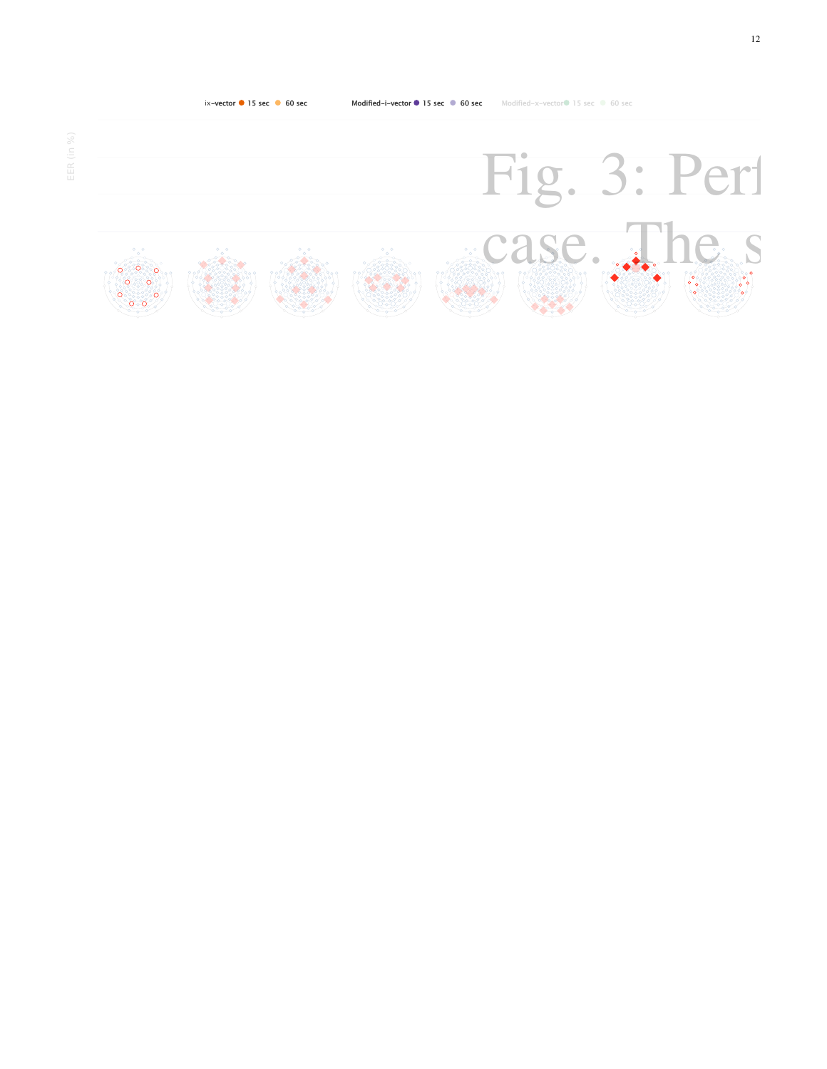

12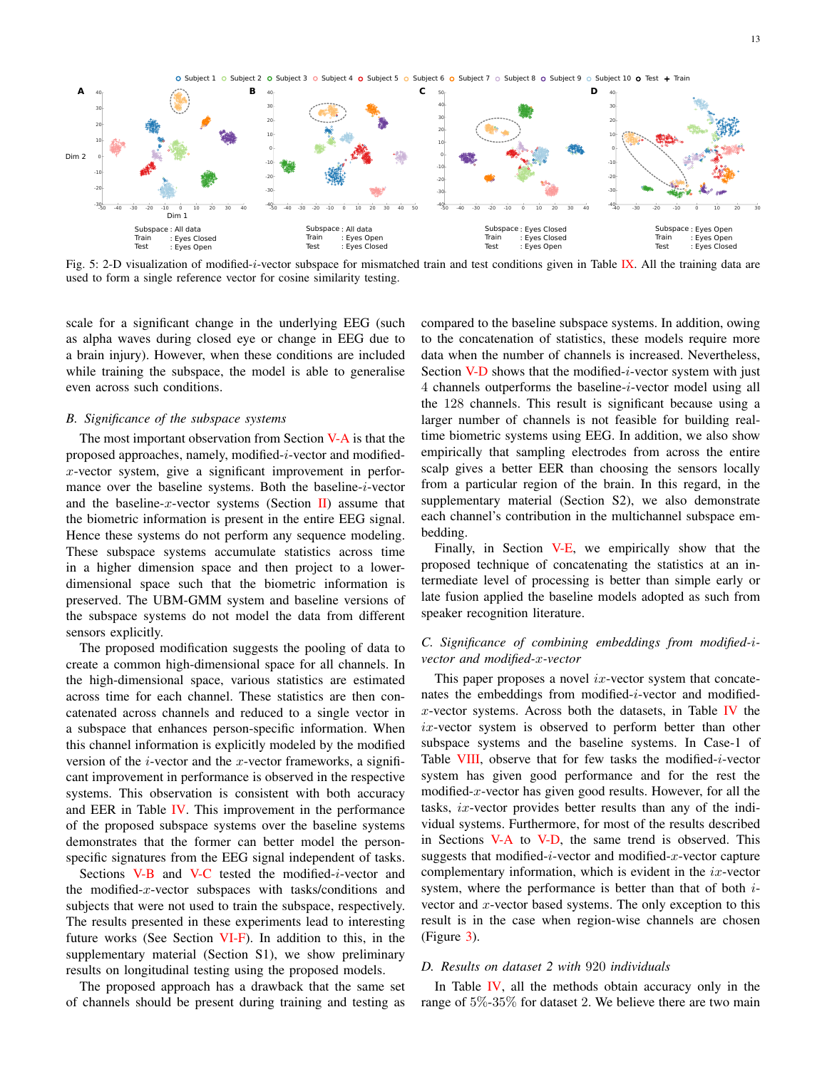O Subject 1 O Subject 2 O Subject 3 O Subject 4 O Subject 5 O Subject 6 O Subject 7 O Subject 8 O Subject 9 O Subject 10 O Test + Train



Fig. 5: 2-D visualization of modified-*i*-vector subspace for mismatched train and test conditions given in Table IX. All the training data are used to form a single reference vector for cosine similarity testing.

scale for a significant change in the underlying EEG (such as alpha waves during closed eye or change in EEG due to a brain injury). However, when these conditions are included while training the subspace, the model is able to generalise even across such conditions.

#### *B. Significance of the subspace systems*

The most important observation from Section V-A is that the proposed approaches, namely, modified- $i$ -vector and modifiedx-vector system, give a significant improvement in performance over the baseline systems. Both the baseline-i-vector and the baseline-x-vector systems (Section II) assume that the biometric information is present in the entire EEG signal. Hence these systems do not perform any sequence modeling. These subspace systems accumulate statistics across time in a higher dimension space and then project to a lowerdimensional space such that the biometric information is preserved. The UBM-GMM system and baseline versions of the subspace systems do not model the data from different sensors explicitly.

The proposed modification suggests the pooling of data to create a common high-dimensional space for all channels. In the high-dimensional space, various statistics are estimated across time for each channel. These statistics are then concatenated across channels and reduced to a single vector in a subspace that enhances person-specific information. When this channel information is explicitly modeled by the modified version of the *i*-vector and the *x*-vector frameworks, a significant improvement in performance is observed in the respective systems. This observation is consistent with both accuracy and EER in Table IV. This improvement in the performance of the proposed subspace systems over the baseline systems demonstrates that the former can better model the personspecific signatures from the EEG signal independent of tasks.

Sections  $V-B$  and  $V-C$  tested the modified-*i*-vector and the modified- $x$ -vector subspaces with tasks/conditions and subjects that were not used to train the subspace, respectively. The results presented in these experiments lead to interesting future works (See Section VI-F). In addition to this, in the supplementary material (Section S1), we show preliminary results on longitudinal testing using the proposed models.

The proposed approach has a drawback that the same set of channels should be present during training and testing as compared to the baseline subspace systems. In addition, owing to the concatenation of statistics, these models require more data when the number of channels is increased. Nevertheless, Section V-D shows that the modified-*i*-vector system with just 4 channels outperforms the baseline-i-vector model using all the 128 channels. This result is significant because using a larger number of channels is not feasible for building realtime biometric systems using EEG. In addition, we also show empirically that sampling electrodes from across the entire scalp gives a better EER than choosing the sensors locally from a particular region of the brain. In this regard, in the supplementary material (Section S2), we also demonstrate each channel's contribution in the multichannel subspace embedding.

Finally, in Section V-E, we empirically show that the proposed technique of concatenating the statistics at an intermediate level of processing is better than simple early or late fusion applied the baseline models adopted as such from speaker recognition literature.

# *C. Significance of combining embeddings from modified-*i*vector and modified-*x*-vector*

This paper proposes a novel  $ix$ -vector system that concatenates the embeddings from modified-i-vector and modified $x$ -vector systems. Across both the datasets, in Table IV the  $ix$ -vector system is observed to perform better than other subspace systems and the baseline systems. In Case-1 of Table VIII, observe that for few tasks the modified-*i*-vector system has given good performance and for the rest the modified-x-vector has given good results. However, for all the tasks,  $ix$ -vector provides better results than any of the individual systems. Furthermore, for most of the results described in Sections V-A to V-D, the same trend is observed. This suggests that modified- $i$ -vector and modified- $x$ -vector capture complementary information, which is evident in the  $ix$ -vector system, where the performance is better than that of both ivector and  $x$ -vector based systems. The only exception to this result is in the case when region-wise channels are chosen (Figure 3).

## *D. Results on dataset 2 with* 920 *individuals*

In Table IV, all the methods obtain accuracy only in the range of 5%-35% for dataset 2. We believe there are two main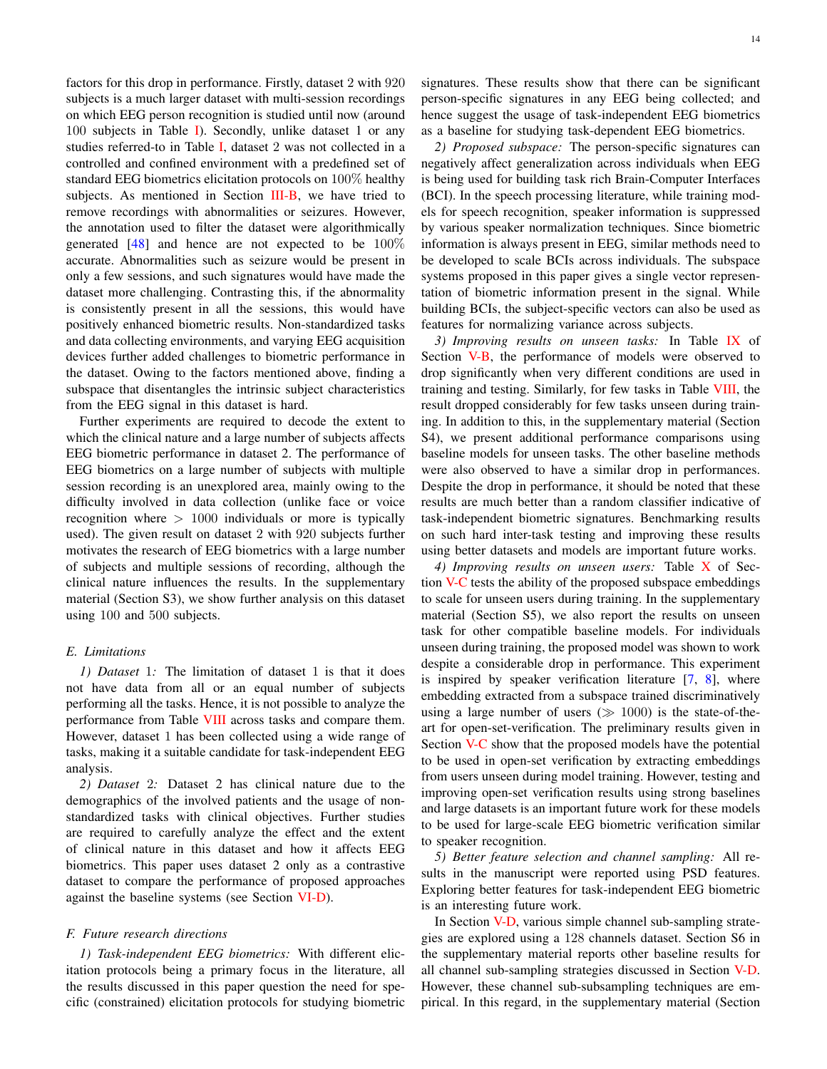factors for this drop in performance. Firstly, dataset 2 with 920 subjects is a much larger dataset with multi-session recordings on which EEG person recognition is studied until now (around 100 subjects in Table I). Secondly, unlike dataset 1 or any studies referred-to in Table I, dataset 2 was not collected in a controlled and confined environment with a predefined set of standard EEG biometrics elicitation protocols on 100% healthy subjects. As mentioned in Section III-B, we have tried to remove recordings with abnormalities or seizures. However, the annotation used to filter the dataset were algorithmically generated  $[48]$  and hence are not expected to be  $100\%$ accurate. Abnormalities such as seizure would be present in only a few sessions, and such signatures would have made the dataset more challenging. Contrasting this, if the abnormality is consistently present in all the sessions, this would have positively enhanced biometric results. Non-standardized tasks and data collecting environments, and varying EEG acquisition devices further added challenges to biometric performance in the dataset. Owing to the factors mentioned above, finding a subspace that disentangles the intrinsic subject characteristics from the EEG signal in this dataset is hard.

Further experiments are required to decode the extent to which the clinical nature and a large number of subjects affects EEG biometric performance in dataset 2. The performance of EEG biometrics on a large number of subjects with multiple session recording is an unexplored area, mainly owing to the difficulty involved in data collection (unlike face or voice recognition where  $> 1000$  individuals or more is typically used). The given result on dataset 2 with 920 subjects further motivates the research of EEG biometrics with a large number of subjects and multiple sessions of recording, although the clinical nature influences the results. In the supplementary material (Section S3), we show further analysis on this dataset using 100 and 500 subjects.

#### *E. Limitations*

*1) Dataset* 1*:* The limitation of dataset 1 is that it does not have data from all or an equal number of subjects performing all the tasks. Hence, it is not possible to analyze the performance from Table VIII across tasks and compare them. However, dataset 1 has been collected using a wide range of tasks, making it a suitable candidate for task-independent EEG analysis.

*2) Dataset* 2*:* Dataset 2 has clinical nature due to the demographics of the involved patients and the usage of nonstandardized tasks with clinical objectives. Further studies are required to carefully analyze the effect and the extent of clinical nature in this dataset and how it affects EEG biometrics. This paper uses dataset 2 only as a contrastive dataset to compare the performance of proposed approaches against the baseline systems (see Section VI-D).

## *F. Future research directions*

*1) Task-independent EEG biometrics:* With different elicitation protocols being a primary focus in the literature, all the results discussed in this paper question the need for specific (constrained) elicitation protocols for studying biometric signatures. These results show that there can be significant person-specific signatures in any EEG being collected; and hence suggest the usage of task-independent EEG biometrics as a baseline for studying task-dependent EEG biometrics.

*2) Proposed subspace:* The person-specific signatures can negatively affect generalization across individuals when EEG is being used for building task rich Brain-Computer Interfaces (BCI). In the speech processing literature, while training models for speech recognition, speaker information is suppressed by various speaker normalization techniques. Since biometric information is always present in EEG, similar methods need to be developed to scale BCIs across individuals. The subspace systems proposed in this paper gives a single vector representation of biometric information present in the signal. While building BCIs, the subject-specific vectors can also be used as features for normalizing variance across subjects.

*3) Improving results on unseen tasks:* In Table IX of Section V-B, the performance of models were observed to drop significantly when very different conditions are used in training and testing. Similarly, for few tasks in Table VIII, the result dropped considerably for few tasks unseen during training. In addition to this, in the supplementary material (Section S4), we present additional performance comparisons using baseline models for unseen tasks. The other baseline methods were also observed to have a similar drop in performances. Despite the drop in performance, it should be noted that these results are much better than a random classifier indicative of task-independent biometric signatures. Benchmarking results on such hard inter-task testing and improving these results using better datasets and models are important future works.

*4) Improving results on unseen users:* Table X of Section V-C tests the ability of the proposed subspace embeddings to scale for unseen users during training. In the supplementary material (Section S5), we also report the results on unseen task for other compatible baseline models. For individuals unseen during training, the proposed model was shown to work despite a considerable drop in performance. This experiment is inspired by speaker verification literature [7, 8], where embedding extracted from a subspace trained discriminatively using a large number of users  $(\gg 1000)$  is the state-of-theart for open-set-verification. The preliminary results given in Section V-C show that the proposed models have the potential to be used in open-set verification by extracting embeddings from users unseen during model training. However, testing and improving open-set verification results using strong baselines and large datasets is an important future work for these models to be used for large-scale EEG biometric verification similar to speaker recognition.

*5) Better feature selection and channel sampling:* All results in the manuscript were reported using PSD features. Exploring better features for task-independent EEG biometric is an interesting future work.

In Section V-D, various simple channel sub-sampling strategies are explored using a 128 channels dataset. Section S6 in the supplementary material reports other baseline results for all channel sub-sampling strategies discussed in Section V-D. However, these channel sub-subsampling techniques are empirical. In this regard, in the supplementary material (Section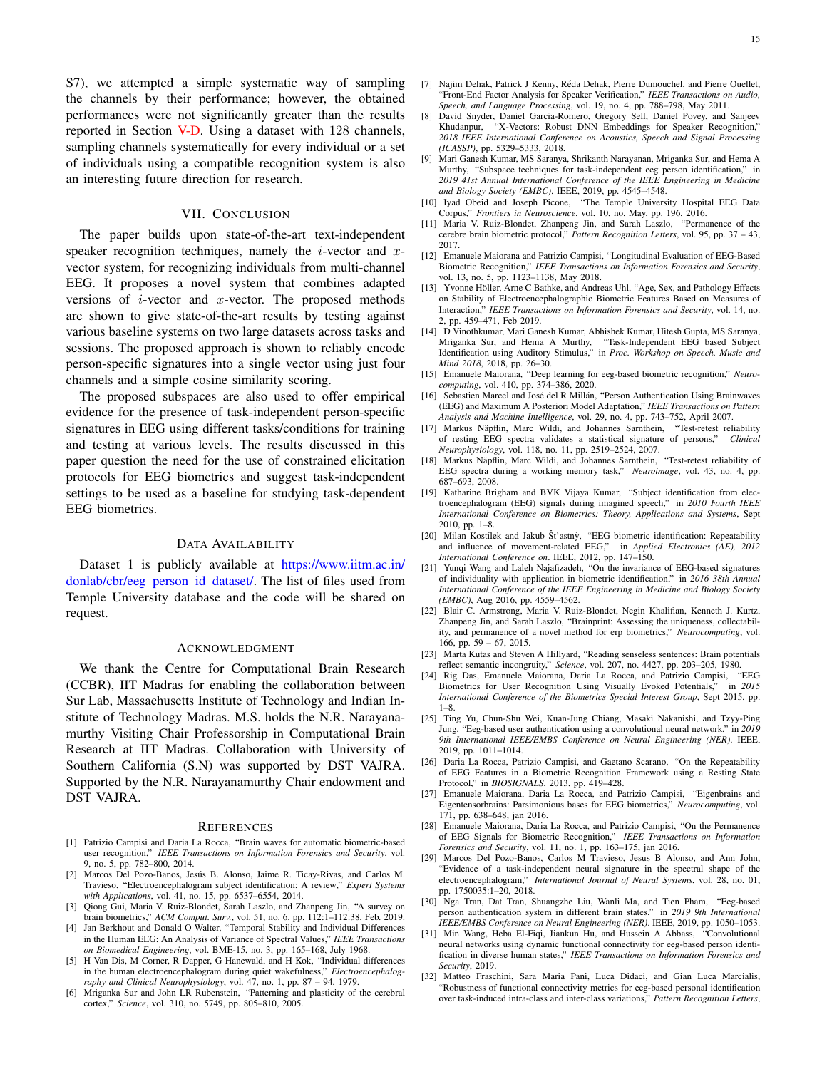S7), we attempted a simple systematic way of sampling the channels by their performance; however, the obtained performances were not significantly greater than the results reported in Section V-D. Using a dataset with 128 channels, sampling channels systematically for every individual or a set of individuals using a compatible recognition system is also an interesting future direction for research.

# VII. CONCLUSION

The paper builds upon state-of-the-art text-independent speaker recognition techniques, namely the *i*-vector and  $x$ vector system, for recognizing individuals from multi-channel EEG. It proposes a novel system that combines adapted versions of  $i$ -vector and  $x$ -vector. The proposed methods are shown to give state-of-the-art results by testing against various baseline systems on two large datasets across tasks and sessions. The proposed approach is shown to reliably encode person-specific signatures into a single vector using just four channels and a simple cosine similarity scoring.

The proposed subspaces are also used to offer empirical evidence for the presence of task-independent person-specific signatures in EEG using different tasks/conditions for training and testing at various levels. The results discussed in this paper question the need for the use of constrained elicitation protocols for EEG biometrics and suggest task-independent settings to be used as a baseline for studying task-dependent EEG biometrics.

#### DATA AVAILABILITY

Dataset 1 is publicly available at https://www.iitm.ac.in/ donlab/cbr/eeg person id dataset/. The list of files used from Temple University database and the code will be shared on request.

#### ACKNOWLEDGMENT

We thank the Centre for Computational Brain Research (CCBR), IIT Madras for enabling the collaboration between Sur Lab, Massachusetts Institute of Technology and Indian Institute of Technology Madras. M.S. holds the N.R. Narayanamurthy Visiting Chair Professorship in Computational Brain Research at IIT Madras. Collaboration with University of Southern California (S.N) was supported by DST VAJRA. Supported by the N.R. Narayanamurthy Chair endowment and DST VAJRA.

#### **REFERENCES**

- [1] Patrizio Campisi and Daria La Rocca, "Brain waves for automatic biometric-based user recognition," *IEEE Transactions on Information Forensics and Security*, vol. 9, no. 5, pp. 782–800, 2014.
- [2] Marcos Del Pozo-Banos, Jesús B. Alonso, Jaime R. Ticay-Rivas, and Carlos M. Travieso, "Electroencephalogram subject identification: A review," *Expert Systems with Applications*, vol. 41, no. 15, pp. 6537–6554, 2014.
- [3] Qiong Gui, Maria V. Ruiz-Blondet, Sarah Laszlo, and Zhanpeng Jin, "A survey on brain biometrics," *ACM Comput. Surv.*, vol. 51, no. 6, pp. 112:1–112:38, Feb. 2019.
- [4] Jan Berkhout and Donald O Walter, "Temporal Stability and Individual Differences in the Human EEG: An Analysis of Variance of Spectral Values," *IEEE Transactions on Biomedical Engineering*, vol. BME-15, no. 3, pp. 165–168, July 1968.
- [5] H Van Dis, M Corner, R Dapper, G Hanewald, and H Kok, "Individual differences in the human electroencephalogram during quiet wakefulness," *Electroencephalography and Clinical Neurophysiology*, vol. 47, no. 1, pp. 87 – 94, 1979.
- [6] Mriganka Sur and John LR Rubenstein, "Patterning and plasticity of the cerebral cortex," *Science*, vol. 310, no. 5749, pp. 805–810, 2005.
- [7] Najim Dehak, Patrick J Kenny, Réda Dehak, Pierre Dumouchel, and Pierre Ouellet, "Front-End Factor Analysis for Speaker Verification," *IEEE Transactions on Audio, Speech, and Language Processing*, vol. 19, no. 4, pp. 788–798, May 2011.
- [8] David Snyder, Daniel Garcia-Romero, Gregory Sell, Daniel Povey, and Sanjeev "X-Vectors: Robust DNN Embeddings for Speaker Recognition," *2018 IEEE International Conference on Acoustics, Speech and Signal Processing (ICASSP)*, pp. 5329–5333, 2018.
- [9] Mari Ganesh Kumar, MS Saranya, Shrikanth Narayanan, Mriganka Sur, and Hema A Murthy, "Subspace techniques for task-independent eeg person identification," in *2019 41st Annual International Conference of the IEEE Engineering in Medicine and Biology Society (EMBC)*. IEEE, 2019, pp. 4545–4548.
- [10] Iyad Obeid and Joseph Picone, "The Temple University Hospital EEG Data Corpus," *Frontiers in Neuroscience*, vol. 10, no. May, pp. 196, 2016.
- [11] Maria V. Ruiz-Blondet, Zhanpeng Jin, and Sarah Laszlo, "Permanence of the cerebre brain biometric protocol," *Pattern Recognition Letters*, vol. 95, pp. 37 – 43, 2017.
- [12] Emanuele Maiorana and Patrizio Campisi, "Longitudinal Evaluation of EEG-Based Biometric Recognition," *IEEE Transactions on Information Forensics and Security*, vol. 13, no. 5, pp. 1123–1138, May 2018.
- [13] Yvonne Höller, Arne C Bathke, and Andreas Uhl, "Age, Sex, and Pathology Effects on Stability of Electroencephalographic Biometric Features Based on Measures of Interaction," *IEEE Transactions on Information Forensics and Security*, vol. 14, no. 2, pp. 459–471, Feb 2019.
- [14] D Vinothkumar, Mari Ganesh Kumar, Abhishek Kumar, Hitesh Gupta, MS Saranya, Mriganka Sur, and Hema A Murthy, "Task-Independent EEG based Subject Identification using Auditory Stimulus," in *Proc. Workshop on Speech, Music and Mind 2018*, 2018, pp. 26–30.
- [15] Emanuele Maiorana, "Deep learning for eeg-based biometric recognition," *Neurocomputing*, vol. 410, pp. 374–386, 2020.
- [16] Sebastien Marcel and José del R Millán, "Person Authentication Using Brainwaves (EEG) and Maximum A Posteriori Model Adaptation," *IEEE Transactions on Pattern Analysis and Machine Intelligence*, vol. 29, no. 4, pp. 743–752, April 2007.
- [17] Markus Näpflin, Marc Wildi, and Johannes Sarnthein, of resting EEG spectra validates a statistical signature of persons," *Clinical Neurophysiology*, vol. 118, no. 11, pp. 2519–2524, 2007.
- [18] Markus Näpflin, Marc Wildi, and Johannes Sarnthein, "Test-retest reliability of EEG spectra during a working memory task," *Neuroimage*, vol. 43, no. 4, pp. 687–693, 2008.
- [19] Katharine Brigham and BVK Vijaya Kumar, "Subject identification from electroencephalogram (EEG) signals during imagined speech," in *2010 Fourth IEEE International Conference on Biometrics: Theory, Applications and Systems*, Sept 2010, pp. 1–8.
- [20] Milan Kostílek and Jakub Št'astnv, "EEG biometric identification: Repeatability and influence of movement-related EEG," in *Applied Electronics (AE), 2012 International Conference on*. IEEE, 2012, pp. 147–150.
- [21] Yunqi Wang and Laleh Najafizadeh, "On the invariance of EEG-based signatures of individuality with application in biometric identification," in *2016 38th Annual International Conference of the IEEE Engineering in Medicine and Biology Society (EMBC)*, Aug 2016, pp. 4559–4562.
- [22] Blair C. Armstrong, Maria V. Ruiz-Blondet, Negin Khalifian, Kenneth J. Kurtz, Zhanpeng Jin, and Sarah Laszlo, "Brainprint: Assessing the uniqueness, collectability, and permanence of a novel method for erp biometrics," *Neurocomputing*, vol. 166, pp. 59 – 67, 2015.
- [23] Marta Kutas and Steven A Hillyard, "Reading senseless sentences: Brain potentials reflect semantic incongruity," *Science*, vol. 207, no. 4427, pp. 203–205, 1980.
- [24] Rig Das, Emanuele Maiorana, Daria La Rocca, and Patrizio Campisi, "EEG Biometrics for User Recognition Using Visually Evoked Potentials," in *2015 International Conference of the Biometrics Special Interest Group*, Sept 2015, pp. 1–8.
- [25] Ting Yu, Chun-Shu Wei, Kuan-Jung Chiang, Masaki Nakanishi, and Tzyy-Ping Jung, "Eeg-based user authentication using a convolutional neural network," in *2019 9th International IEEE/EMBS Conference on Neural Engineering (NER)*. IEEE, 2019, pp. 1011–1014.
- [26] Daria La Rocca, Patrizio Campisi, and Gaetano Scarano, "On the Repeatability of EEG Features in a Biometric Recognition Framework using a Resting State Protocol," in *BIOSIGNALS*, 2013, pp. 419–428.
- [27] Emanuele Maiorana, Daria La Rocca, and Patrizio Campisi, "Eigenbrains and Eigentensorbrains: Parsimonious bases for EEG biometrics," *Neurocomputing*, vol. 171, pp. 638–648, jan 2016.
- [28] Emanuele Maiorana, Daria La Rocca, and Patrizio Campisi, "On the Permanence of EEG Signals for Biometric Recognition," *IEEE Transactions on Information Forensics and Security*, vol. 11, no. 1, pp. 163–175, jan 2016.
- [29] Marcos Del Pozo-Banos, Carlos M Travieso, Jesus B Alonso, and Ann John, "Evidence of a task-independent neural signature in the spectral shape of the electroencephalogram," *International Journal of Neural Systems*, vol. 28, no. 01, pp. 1750035:1–20, 2018.
- [30] Nga Tran, Dat Tran, Shuangzhe Liu, Wanli Ma, and Tien Pham, "Eeg-based person authentication system in different brain states," in *2019 9th International IEEE/EMBS Conference on Neural Engineering (NER)*. IEEE, 2019, pp. 1050–1053.
- [31] Min Wang, Heba El-Fiqi, Jiankun Hu, and Hussein A Abbass, neural networks using dynamic functional connectivity for eeg-based person identification in diverse human states," *IEEE Transactions on Information Forensics and Security*, 2019.
- [32] Matteo Fraschini, Sara Maria Pani, Luca Didaci, and Gian Luca Marcialis, "Robustness of functional connectivity metrics for eeg-based personal identification over task-induced intra-class and inter-class variations," *Pattern Recognition Letters*,